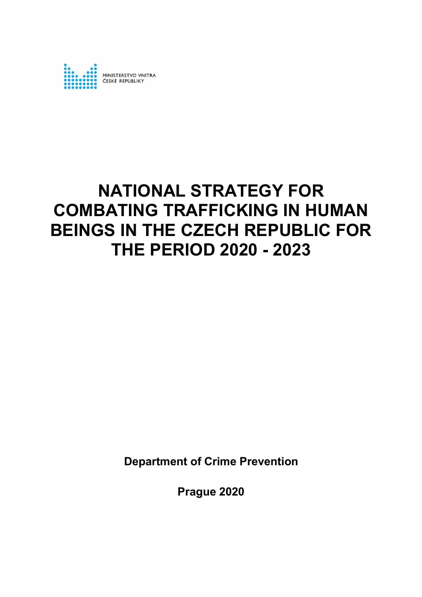

# **NATIONAL STRATEGY FOR COMBATING TRAFFICKING IN HUMAN BEINGS IN THE CZECH REPUBLIC FOR THE PERIOD 2020 - 2023**

**Department of Crime Prevention**

**Prague 2020**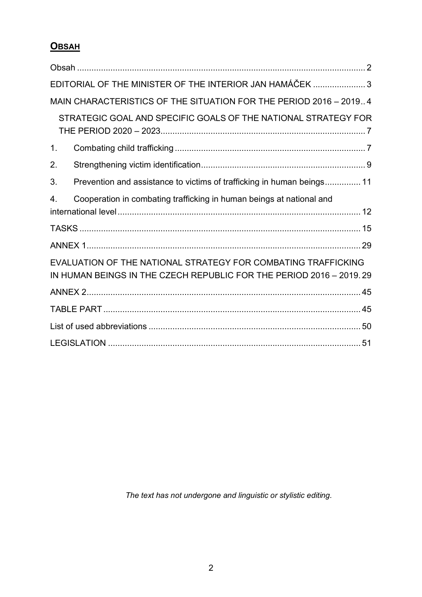## **OBSAH**

|                | EDITORIAL OF THE MINISTER OF THE INTERIOR JAN HAMÁČEK 3                                                                              |  |
|----------------|--------------------------------------------------------------------------------------------------------------------------------------|--|
|                | MAIN CHARACTERISTICS OF THE SITUATION FOR THE PERIOD 2016 - 20194                                                                    |  |
|                | STRATEGIC GOAL AND SPECIFIC GOALS OF THE NATIONAL STRATEGY FOR                                                                       |  |
| 1 <sub>1</sub> |                                                                                                                                      |  |
| 2.             |                                                                                                                                      |  |
| 3.             | Prevention and assistance to victims of trafficking in human beings 11                                                               |  |
| 4.             | Cooperation in combating trafficking in human beings at national and                                                                 |  |
|                |                                                                                                                                      |  |
|                |                                                                                                                                      |  |
|                | EVALUATION OF THE NATIONAL STRATEGY FOR COMBATING TRAFFICKING<br>IN HUMAN BEINGS IN THE CZECH REPUBLIC FOR THE PERIOD 2016 - 2019.29 |  |
|                |                                                                                                                                      |  |
|                |                                                                                                                                      |  |
|                |                                                                                                                                      |  |
|                |                                                                                                                                      |  |

*The text has not undergone and linguistic or stylistic editing.*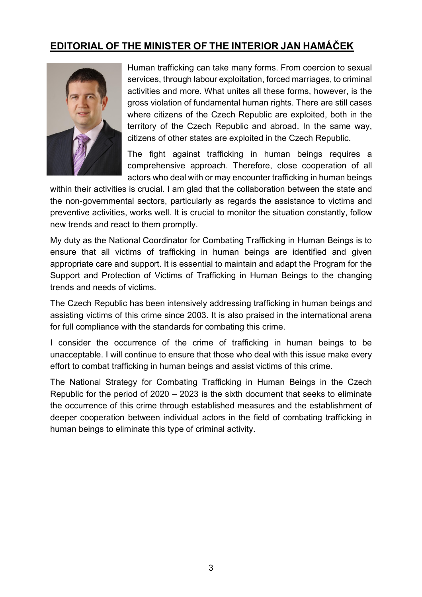### **EDITORIAL OF THE MINISTER OF THE INTERIOR JAN HAMÁČEK**



Human trafficking can take many forms. From coercion to sexual services, through labour exploitation, forced marriages, to criminal activities and more. What unites all these forms, however, is the gross violation of fundamental human rights. There are still cases where citizens of the Czech Republic are exploited, both in the territory of the Czech Republic and abroad. In the same way, citizens of other states are exploited in the Czech Republic.

The fight against trafficking in human beings requires a comprehensive approach. Therefore, close cooperation of all actors who deal with or may encounter trafficking in human beings

within their activities is crucial. I am glad that the collaboration between the state and the non-governmental sectors, particularly as regards the assistance to victims and preventive activities, works well. It is crucial to monitor the situation constantly, follow new trends and react to them promptly.

My duty as the National Coordinator for Combating Trafficking in Human Beings is to ensure that all victims of trafficking in human beings are identified and given appropriate care and support. It is essential to maintain and adapt the Program for the Support and Protection of Victims of Trafficking in Human Beings to the changing trends and needs of victims.

The Czech Republic has been intensively addressing trafficking in human beings and assisting victims of this crime since 2003. It is also praised in the international arena for full compliance with the standards for combating this crime.

I consider the occurrence of the crime of trafficking in human beings to be unacceptable. I will continue to ensure that those who deal with this issue make every effort to combat trafficking in human beings and assist victims of this crime.

The National Strategy for Combating Trafficking in Human Beings in the Czech Republic for the period of 2020 – 2023 is the sixth document that seeks to eliminate the occurrence of this crime through established measures and the establishment of deeper cooperation between individual actors in the field of combating trafficking in human beings to eliminate this type of criminal activity.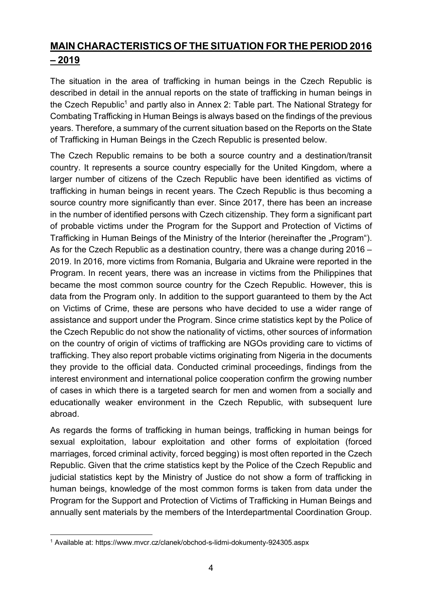# **MAIN CHARACTERISTICS OF THE SITUATION FOR THE PERIOD 2016 – 2019**

The situation in the area of trafficking in human beings in the Czech Republic is described in detail in the annual reports on the state of trafficking in human beings in the Czech Republic<sup>1</sup> and partly also in Annex 2: Table part. The National Strategy for Combating Trafficking in Human Beings is always based on the findings of the previous years. Therefore, a summary of the current situation based on the Reports on the State of Trafficking in Human Beings in the Czech Republic is presented below.

The Czech Republic remains to be both a source country and a destination/transit country. It represents a source country especially for the United Kingdom, where a larger number of citizens of the Czech Republic have been identified as victims of trafficking in human beings in recent years. The Czech Republic is thus becoming a source country more significantly than ever. Since 2017, there has been an increase in the number of identified persons with Czech citizenship. They form a significant part of probable victims under the Program for the Support and Protection of Victims of Trafficking in Human Beings of the Ministry of the Interior (hereinafter the "Program"). As for the Czech Republic as a destination country, there was a change during 2016 – 2019. In 2016, more victims from Romania, Bulgaria and Ukraine were reported in the Program. In recent years, there was an increase in victims from the Philippines that became the most common source country for the Czech Republic. However, this is data from the Program only. In addition to the support guaranteed to them by the Act on Victims of Crime, these are persons who have decided to use a wider range of assistance and support under the Program. Since crime statistics kept by the Police of the Czech Republic do not show the nationality of victims, other sources of information on the country of origin of victims of trafficking are NGOs providing care to victims of trafficking. They also report probable victims originating from Nigeria in the documents they provide to the official data. Conducted criminal proceedings, findings from the interest environment and international police cooperation confirm the growing number of cases in which there is a targeted search for men and women from a socially and educationally weaker environment in the Czech Republic, with subsequent lure abroad.

As regards the forms of trafficking in human beings, trafficking in human beings for sexual exploitation, labour exploitation and other forms of exploitation (forced marriages, forced criminal activity, forced begging) is most often reported in the Czech Republic. Given that the crime statistics kept by the Police of the Czech Republic and judicial statistics kept by the Ministry of Justice do not show a form of trafficking in human beings, knowledge of the most common forms is taken from data under the Program for the Support and Protection of Victims of Trafficking in Human Beings and annually sent materials by the members of the Interdepartmental Coordination Group.

 <sup>1</sup> Available at: https://www.mvcr.cz/clanek/obchod-s-lidmi-dokumenty-924305.aspx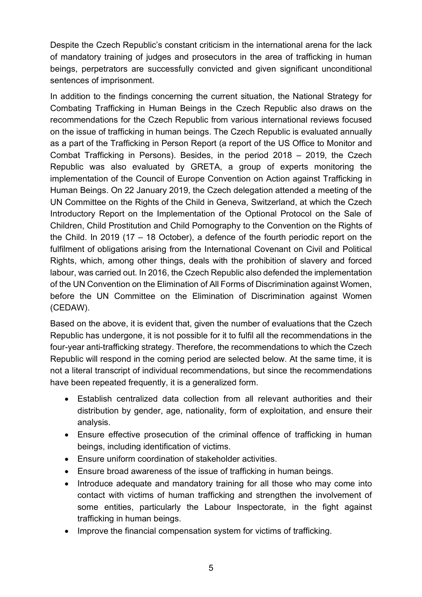Despite the Czech Republic's constant criticism in the international arena for the lack of mandatory training of judges and prosecutors in the area of trafficking in human beings, perpetrators are successfully convicted and given significant unconditional sentences of imprisonment.

In addition to the findings concerning the current situation, the National Strategy for Combating Trafficking in Human Beings in the Czech Republic also draws on the recommendations for the Czech Republic from various international reviews focused on the issue of trafficking in human beings. The Czech Republic is evaluated annually as a part of the Trafficking in Person Report (a report of the US Office to Monitor and Combat Trafficking in Persons). Besides, in the period 2018 – 2019, the Czech Republic was also evaluated by GRETA, a group of experts monitoring the implementation of the Council of Europe Convention on Action against Trafficking in Human Beings. On 22 January 2019, the Czech delegation attended a meeting of the UN Committee on the Rights of the Child in Geneva, Switzerland, at which the Czech Introductory Report on the Implementation of the Optional Protocol on the Sale of Children, Child Prostitution and Child Pornography to the Convention on the Rights of the Child. In 2019 (17 – 18 October), a defence of the fourth periodic report on the fulfilment of obligations arising from the International Covenant on Civil and Political Rights, which, among other things, deals with the prohibition of slavery and forced labour, was carried out. In 2016, the Czech Republic also defended the implementation of the UN Convention on the Elimination of All Forms of Discrimination against Women, before the UN Committee on the Elimination of Discrimination against Women (CEDAW).

Based on the above, it is evident that, given the number of evaluations that the Czech Republic has undergone, it is not possible for it to fulfil all the recommendations in the four-year anti-trafficking strategy. Therefore, the recommendations to which the Czech Republic will respond in the coming period are selected below. At the same time, it is not a literal transcript of individual recommendations, but since the recommendations have been repeated frequently, it is a generalized form.

- Establish centralized data collection from all relevant authorities and their distribution by gender, age, nationality, form of exploitation, and ensure their analysis.
- Ensure effective prosecution of the criminal offence of trafficking in human beings, including identification of victims.
- Ensure uniform coordination of stakeholder activities.
- Ensure broad awareness of the issue of trafficking in human beings.
- Introduce adequate and mandatory training for all those who may come into contact with victims of human trafficking and strengthen the involvement of some entities, particularly the Labour Inspectorate, in the fight against trafficking in human beings.
- Improve the financial compensation system for victims of trafficking.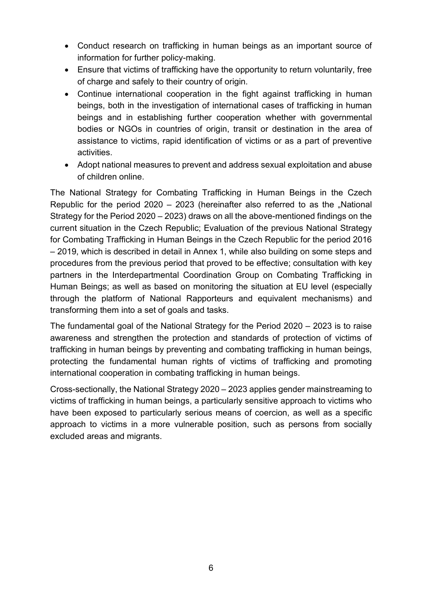- Conduct research on trafficking in human beings as an important source of information for further policy-making.
- Ensure that victims of trafficking have the opportunity to return voluntarily, free of charge and safely to their country of origin.
- Continue international cooperation in the fight against trafficking in human beings, both in the investigation of international cases of trafficking in human beings and in establishing further cooperation whether with governmental bodies or NGOs in countries of origin, transit or destination in the area of assistance to victims, rapid identification of victims or as a part of preventive activities.
- Adopt national measures to prevent and address sexual exploitation and abuse of children online.

The National Strategy for Combating Trafficking in Human Beings in the Czech Republic for the period  $2020 - 2023$  (hereinafter also referred to as the "National Strategy for the Period 2020 – 2023) draws on all the above-mentioned findings on the current situation in the Czech Republic; Evaluation of the previous National Strategy for Combating Trafficking in Human Beings in the Czech Republic for the period 2016 – 2019, which is described in detail in Annex 1, while also building on some steps and procedures from the previous period that proved to be effective; consultation with key partners in the Interdepartmental Coordination Group on Combating Trafficking in Human Beings; as well as based on monitoring the situation at EU level (especially through the platform of National Rapporteurs and equivalent mechanisms) and transforming them into a set of goals and tasks.

The fundamental goal of the National Strategy for the Period 2020 – 2023 is to raise awareness and strengthen the protection and standards of protection of victims of trafficking in human beings by preventing and combating trafficking in human beings, protecting the fundamental human rights of victims of trafficking and promoting international cooperation in combating trafficking in human beings.

Cross-sectionally, the National Strategy 2020 – 2023 applies gender mainstreaming to victims of trafficking in human beings, a particularly sensitive approach to victims who have been exposed to particularly serious means of coercion, as well as a specific approach to victims in a more vulnerable position, such as persons from socially excluded areas and migrants.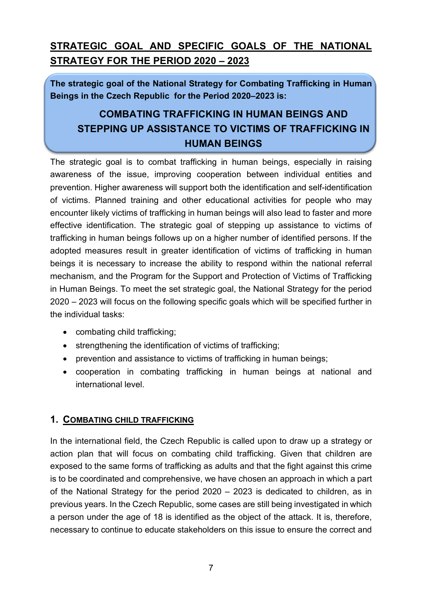# **STRATEGIC GOAL AND SPECIFIC GOALS OF THE NATIONAL STRATEGY FOR THE PERIOD 2020 – 2023**

**The strategic goal of the National Strategy for Combating Trafficking in Human Beings in the Czech Republic for the Period 2020–2023 is:**

# **COMBATING TRAFFICKING IN HUMAN BEINGS AND STEPPING UP ASSISTANCE TO VICTIMS OF TRAFFICKING IN HUMAN BEINGS**

The strategic goal is to combat trafficking in human beings, especially in raising awareness of the issue, improving cooperation between individual entities and prevention. Higher awareness will support both the identification and self-identification of victims. Planned training and other educational activities for people who may encounter likely victims of trafficking in human beings will also lead to faster and more effective identification. The strategic goal of stepping up assistance to victims of trafficking in human beings follows up on a higher number of identified persons. If the adopted measures result in greater identification of victims of trafficking in human beings it is necessary to increase the ability to respond within the national referral mechanism, and the Program for the Support and Protection of Victims of Trafficking in Human Beings. To meet the set strategic goal, the National Strategy for the period 2020 – 2023 will focus on the following specific goals which will be specified further in the individual tasks:

- combating child trafficking;
- strengthening the identification of victims of trafficking;
- prevention and assistance to victims of trafficking in human beings;
- cooperation in combating trafficking in human beings at national and international level.

#### **1. COMBATING CHILD TRAFFICKING**

In the international field, the Czech Republic is called upon to draw up a strategy or action plan that will focus on combating child trafficking. Given that children are exposed to the same forms of trafficking as adults and that the fight against this crime is to be coordinated and comprehensive, we have chosen an approach in which a part of the National Strategy for the period 2020 – 2023 is dedicated to children, as in previous years. In the Czech Republic, some cases are still being investigated in which a person under the age of 18 is identified as the object of the attack. It is, therefore, necessary to continue to educate stakeholders on this issue to ensure the correct and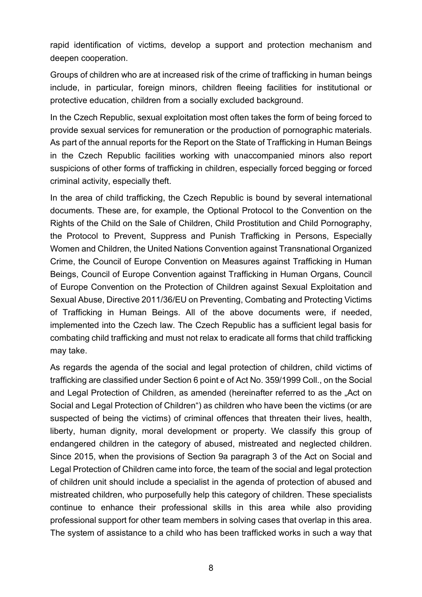rapid identification of victims, develop a support and protection mechanism and deepen cooperation.

Groups of children who are at increased risk of the crime of trafficking in human beings include, in particular, foreign minors, children fleeing facilities for institutional or protective education, children from a socially excluded background.

In the Czech Republic, sexual exploitation most often takes the form of being forced to provide sexual services for remuneration or the production of pornographic materials. As part of the annual reports for the Report on the State of Trafficking in Human Beings in the Czech Republic facilities working with unaccompanied minors also report suspicions of other forms of trafficking in children, especially forced begging or forced criminal activity, especially theft.

In the area of child trafficking, the Czech Republic is bound by several international documents. These are, for example, the Optional Protocol to the Convention on the Rights of the Child on the Sale of Children, Child Prostitution and Child Pornography, the Protocol to Prevent, Suppress and Punish Trafficking in Persons, Especially Women and Children, the United Nations Convention against Transnational Organized Crime, the Council of Europe Convention on Measures against Trafficking in Human Beings, Council of Europe Convention against Trafficking in Human Organs, Council of Europe Convention on the Protection of Children against Sexual Exploitation and Sexual Abuse, Directive 2011/36/EU on Preventing, Combating and Protecting Victims of Trafficking in Human Beings. All of the above documents were, if needed, implemented into the Czech law. The Czech Republic has a sufficient legal basis for combating child trafficking and must not relax to eradicate all forms that child trafficking may take.

As regards the agenda of the social and legal protection of children, child victims of trafficking are classified under Section 6 point e of Act No. 359/1999 Coll., on the Social and Legal Protection of Children, as amended (hereinafter referred to as the "Act on Social and Legal Protection of Children") as children who have been the victims (or are suspected of being the victims) of criminal offences that threaten their lives, health, liberty, human dignity, moral development or property. We classify this group of endangered children in the category of abused, mistreated and neglected children. Since 2015, when the provisions of Section 9a paragraph 3 of the Act on Social and Legal Protection of Children came into force, the team of the social and legal protection of children unit should include a specialist in the agenda of protection of abused and mistreated children, who purposefully help this category of children. These specialists continue to enhance their professional skills in this area while also providing professional support for other team members in solving cases that overlap in this area. The system of assistance to a child who has been trafficked works in such a way that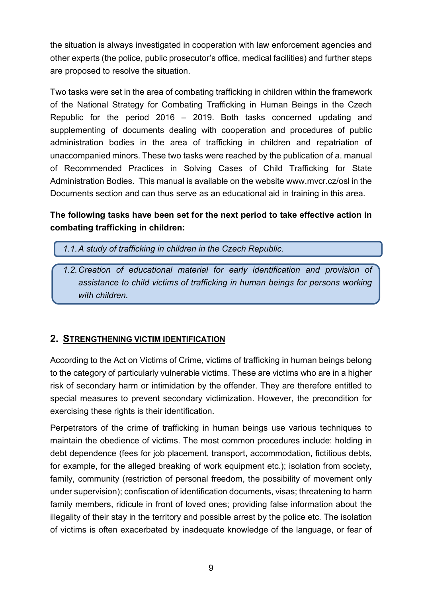the situation is always investigated in cooperation with law enforcement agencies and other experts (the police, public prosecutor's office, medical facilities) and further steps are proposed to resolve the situation.

Two tasks were set in the area of combating trafficking in children within the framework of the National Strategy for Combating Trafficking in Human Beings in the Czech Republic for the period 2016 – 2019. Both tasks concerned updating and supplementing of documents dealing with cooperation and procedures of public administration bodies in the area of trafficking in children and repatriation of unaccompanied minors. These two tasks were reached by the publication of a. manual of Recommended Practices in Solving Cases of Child Trafficking for State Administration Bodies. This manual is available on the website www.mvcr.cz/osl in the Documents section and can thus serve as an educational aid in training in this area.

#### **The following tasks have been set for the next period to take effective action in combating trafficking in children:**

- *1.1.A study of trafficking in children in the Czech Republic.*
- *1.2.Creation of educational material for early identification and provision of assistance to child victims of trafficking in human beings for persons working with children.*

#### **2. STRENGTHENING VICTIM IDENTIFICATION**

According to the Act on Victims of Crime, victims of trafficking in human beings belong to the category of particularly vulnerable victims. These are victims who are in a higher risk of secondary harm or intimidation by the offender. They are therefore entitled to special measures to prevent secondary victimization. However, the precondition for exercising these rights is their identification.

Perpetrators of the crime of trafficking in human beings use various techniques to maintain the obedience of victims. The most common procedures include: holding in debt dependence (fees for job placement, transport, accommodation, fictitious debts, for example, for the alleged breaking of work equipment etc.); isolation from society, family, community (restriction of personal freedom, the possibility of movement only under supervision); confiscation of identification documents, visas; threatening to harm family members, ridicule in front of loved ones; providing false information about the illegality of their stay in the territory and possible arrest by the police etc. The isolation of victims is often exacerbated by inadequate knowledge of the language, or fear of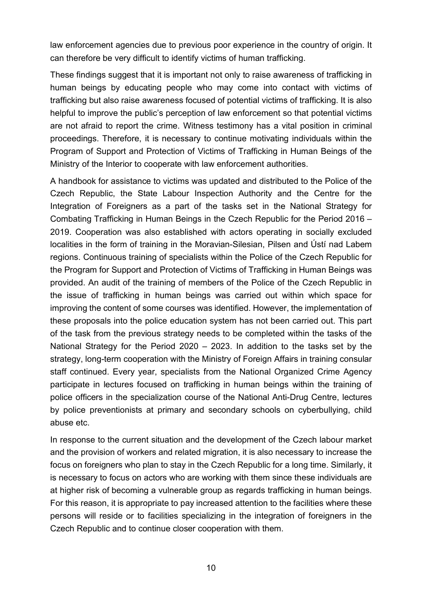law enforcement agencies due to previous poor experience in the country of origin. It can therefore be very difficult to identify victims of human trafficking.

These findings suggest that it is important not only to raise awareness of trafficking in human beings by educating people who may come into contact with victims of trafficking but also raise awareness focused of potential victims of trafficking. It is also helpful to improve the public's perception of law enforcement so that potential victims are not afraid to report the crime. Witness testimony has a vital position in criminal proceedings. Therefore, it is necessary to continue motivating individuals within the Program of Support and Protection of Victims of Trafficking in Human Beings of the Ministry of the Interior to cooperate with law enforcement authorities.

A handbook for assistance to victims was updated and distributed to the Police of the Czech Republic, the State Labour Inspection Authority and the Centre for the Integration of Foreigners as a part of the tasks set in the National Strategy for Combating Trafficking in Human Beings in the Czech Republic for the Period 2016 – 2019. Cooperation was also established with actors operating in socially excluded localities in the form of training in the Moravian-Silesian, Pilsen and Ústí nad Labem regions. Continuous training of specialists within the Police of the Czech Republic for the Program for Support and Protection of Victims of Trafficking in Human Beings was provided. An audit of the training of members of the Police of the Czech Republic in the issue of trafficking in human beings was carried out within which space for improving the content of some courses was identified. However, the implementation of these proposals into the police education system has not been carried out. This part of the task from the previous strategy needs to be completed within the tasks of the National Strategy for the Period 2020 – 2023. In addition to the tasks set by the strategy, long-term cooperation with the Ministry of Foreign Affairs in training consular staff continued. Every year, specialists from the National Organized Crime Agency participate in lectures focused on trafficking in human beings within the training of police officers in the specialization course of the National Anti-Drug Centre, lectures by police preventionists at primary and secondary schools on cyberbullying, child abuse etc.

In response to the current situation and the development of the Czech labour market and the provision of workers and related migration, it is also necessary to increase the focus on foreigners who plan to stay in the Czech Republic for a long time. Similarly, it is necessary to focus on actors who are working with them since these individuals are at higher risk of becoming a vulnerable group as regards trafficking in human beings. For this reason, it is appropriate to pay increased attention to the facilities where these persons will reside or to facilities specializing in the integration of foreigners in the Czech Republic and to continue closer cooperation with them.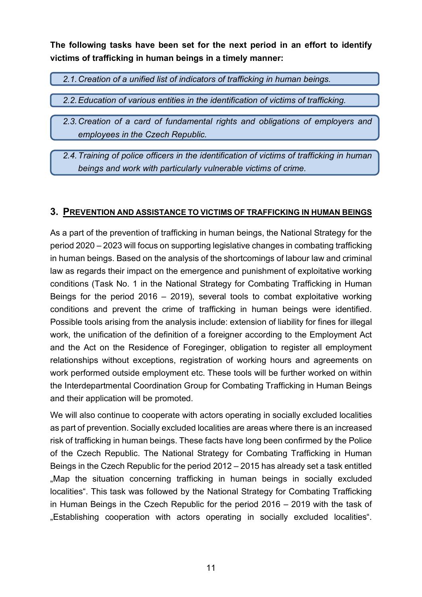**The following tasks have been set for the next period in an effort to identify victims of trafficking in human beings in a timely manner:**

*2.1.Creation of a unified list of indicators of trafficking in human beings.*

*2.2.Education of various entities in the identification of victims of trafficking.*

- *2.3.Creation of a card of fundamental rights and obligations of employers and employees in the Czech Republic.*
- *2.4.Training of police officers in the identification of victims of trafficking in human beings and work with particularly vulnerable victims of crime.*

#### **3. PREVENTION AND ASSISTANCE TO VICTIMS OF TRAFFICKING IN HUMAN BEINGS**

As a part of the prevention of trafficking in human beings, the National Strategy for the period 2020 – 2023 will focus on supporting legislative changes in combating trafficking in human beings. Based on the analysis of the shortcomings of labour law and criminal law as regards their impact on the emergence and punishment of exploitative working conditions (Task No. 1 in the National Strategy for Combating Trafficking in Human Beings for the period 2016 – 2019), several tools to combat exploitative working conditions and prevent the crime of trafficking in human beings were identified. Possible tools arising from the analysis include: extension of liability for fines for illegal work, the unification of the definition of a foreigner according to the Employment Act and the Act on the Residence of Foreginger, obligation to register all employment relationships without exceptions, registration of working hours and agreements on work performed outside employment etc. These tools will be further worked on within the Interdepartmental Coordination Group for Combating Trafficking in Human Beings and their application will be promoted.

We will also continue to cooperate with actors operating in socially excluded localities as part of prevention. Socially excluded localities are areas where there is an increased risk of trafficking in human beings. These facts have long been confirmed by the Police of the Czech Republic. The National Strategy for Combating Trafficking in Human Beings in the Czech Republic for the period 2012 – 2015 has already set a task entitled .Map the situation concerning trafficking in human beings in socially excluded localities". This task was followed by the National Strategy for Combating Trafficking in Human Beings in the Czech Republic for the period 2016 – 2019 with the task of "Establishing cooperation with actors operating in socially excluded localities".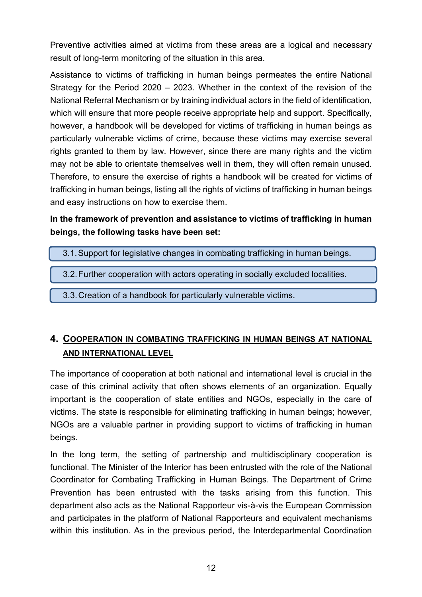Preventive activities aimed at victims from these areas are a logical and necessary result of long-term monitoring of the situation in this area.

Assistance to victims of trafficking in human beings permeates the entire National Strategy for the Period 2020 – 2023. Whether in the context of the revision of the National Referral Mechanism or by training individual actors in the field of identification, which will ensure that more people receive appropriate help and support. Specifically, however, a handbook will be developed for victims of trafficking in human beings as particularly vulnerable victims of crime, because these victims may exercise several rights granted to them by law. However, since there are many rights and the victim may not be able to orientate themselves well in them, they will often remain unused. Therefore, to ensure the exercise of rights a handbook will be created for victims of trafficking in human beings, listing all the rights of victims of trafficking in human beings and easy instructions on how to exercise them.

#### **In the framework of prevention and assistance to victims of trafficking in human beings, the following tasks have been set:**

- 3.1.Support for legislative changes in combating trafficking in human beings.
- 3.2.Further cooperation with actors operating in socially excluded localities.
- 3.3.Creation of a handbook for particularly vulnerable victims.

### **4. COOPERATION IN COMBATING TRAFFICKING IN HUMAN BEINGS AT NATIONAL AND INTERNATIONAL LEVEL**

The importance of cooperation at both national and international level is crucial in the case of this criminal activity that often shows elements of an organization. Equally important is the cooperation of state entities and NGOs, especially in the care of victims. The state is responsible for eliminating trafficking in human beings; however, NGOs are a valuable partner in providing support to victims of trafficking in human beings.

In the long term, the setting of partnership and multidisciplinary cooperation is functional. The Minister of the Interior has been entrusted with the role of the National Coordinator for Combating Trafficking in Human Beings. The Department of Crime Prevention has been entrusted with the tasks arising from this function. This department also acts as the National Rapporteur vis-à-vis the European Commission and participates in the platform of National Rapporteurs and equivalent mechanisms within this institution. As in the previous period, the Interdepartmental Coordination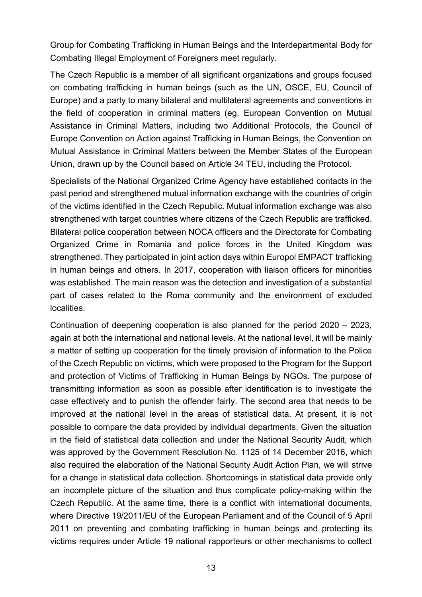Group for Combating Trafficking in Human Beings and the Interdepartmental Body for Combating Illegal Employment of Foreigners meet regularly.

The Czech Republic is a member of all significant organizations and groups focused on combating trafficking in human beings (such as the UN, OSCE, EU, Council of Europe) and a party to many bilateral and multilateral agreements and conventions in the field of cooperation in criminal matters (eg. European Convention on Mutual Assistance in Criminal Matters, including two Additional Protocols, the Council of Europe Convention on Action against Trafficking in Human Beings, the Convention on Mutual Assistance in Criminal Matters between the Member States of the European Union, drawn up by the Council based on Article 34 TEU, including the Protocol.

Specialists of the National Organized Crime Agency have established contacts in the past period and strengthened mutual information exchange with the countries of origin of the victims identified in the Czech Republic. Mutual information exchange was also strengthened with target countries where citizens of the Czech Republic are trafficked. Bilateral police cooperation between NOCA officers and the Directorate for Combating Organized Crime in Romania and police forces in the United Kingdom was strengthened. They participated in joint action days within Europol EMPACT trafficking in human beings and others. In 2017, cooperation with liaison officers for minorities was established. The main reason was the detection and investigation of a substantial part of cases related to the Roma community and the environment of excluded localities.

Continuation of deepening cooperation is also planned for the period 2020 – 2023, again at both the international and national levels. At the national level, it will be mainly a matter of setting up cooperation for the timely provision of information to the Police of the Czech Republic on victims, which were proposed to the Program for the Support and protection of Victims of Trafficking in Human Beings by NGOs. The purpose of transmitting information as soon as possible after identification is to investigate the case effectively and to punish the offender fairly. The second area that needs to be improved at the national level in the areas of statistical data. At present, it is not possible to compare the data provided by individual departments. Given the situation in the field of statistical data collection and under the National Security Audit, which was approved by the Government Resolution No. 1125 of 14 December 2016, which also required the elaboration of the National Security Audit Action Plan, we will strive for a change in statistical data collection. Shortcomings in statistical data provide only an incomplete picture of the situation and thus complicate policy-making within the Czech Republic. At the same time, there is a conflict with international documents, where Directive 19/2011/EU of the European Parliament and of the Council of 5 April 2011 on preventing and combating trafficking in human beings and protecting its victims requires under Article 19 national rapporteurs or other mechanisms to collect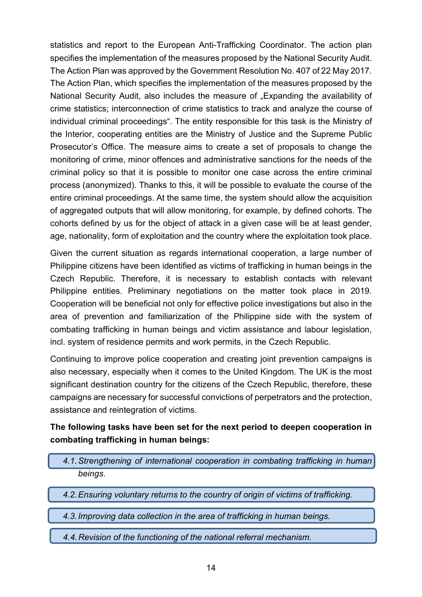statistics and report to the European Anti-Trafficking Coordinator. The action plan specifies the implementation of the measures proposed by the National Security Audit. The Action Plan was approved by the Government Resolution No. 407 of 22 May 2017. The Action Plan, which specifies the implementation of the measures proposed by the National Security Audit, also includes the measure of "Expanding the availability of crime statistics; interconnection of crime statistics to track and analyze the course of individual criminal proceedings". The entity responsible for this task is the Ministry of the Interior, cooperating entities are the Ministry of Justice and the Supreme Public Prosecutor's Office. The measure aims to create a set of proposals to change the monitoring of crime, minor offences and administrative sanctions for the needs of the criminal policy so that it is possible to monitor one case across the entire criminal process (anonymized). Thanks to this, it will be possible to evaluate the course of the entire criminal proceedings. At the same time, the system should allow the acquisition of aggregated outputs that will allow monitoring, for example, by defined cohorts. The cohorts defined by us for the object of attack in a given case will be at least gender, age, nationality, form of exploitation and the country where the exploitation took place.

Given the current situation as regards international cooperation, a large number of Philippine citizens have been identified as victims of trafficking in human beings in the Czech Republic. Therefore, it is necessary to establish contacts with relevant Philippine entities. Preliminary negotiations on the matter took place in 2019. Cooperation will be beneficial not only for effective police investigations but also in the area of prevention and familiarization of the Philippine side with the system of combating trafficking in human beings and victim assistance and labour legislation, incl. system of residence permits and work permits, in the Czech Republic.

Continuing to improve police cooperation and creating joint prevention campaigns is also necessary, especially when it comes to the United Kingdom. The UK is the most significant destination country for the citizens of the Czech Republic, therefore, these campaigns are necessary for successful convictions of perpetrators and the protection, assistance and reintegration of victims.

#### **The following tasks have been set for the next period to deepen cooperation in combating trafficking in human beings:**

- *4.1.Strengthening of international cooperation in combating trafficking in human beings.*
- *4.2.Ensuring voluntary returns to the country of origin of victims of trafficking.*
- *4.3.Improving data collection in the area of trafficking in human beings.*
- *4.4.Revision of the functioning of the national referral mechanism.*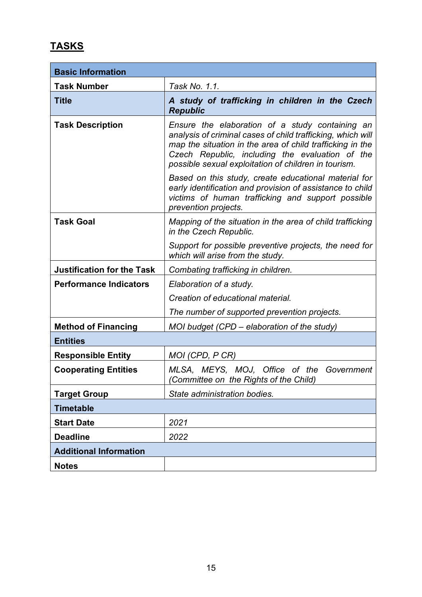# **TASKS**

| <b>Basic Information</b>          |                                                                                                                                                                                                                                                                                        |  |
|-----------------------------------|----------------------------------------------------------------------------------------------------------------------------------------------------------------------------------------------------------------------------------------------------------------------------------------|--|
| <b>Task Number</b>                | Task No. 1.1.                                                                                                                                                                                                                                                                          |  |
| <b>Title</b>                      | A study of trafficking in children in the Czech<br><b>Republic</b>                                                                                                                                                                                                                     |  |
| <b>Task Description</b>           | Ensure the elaboration of a study containing an<br>analysis of criminal cases of child trafficking, which will<br>map the situation in the area of child trafficking in the<br>Czech Republic, including the evaluation of the<br>possible sexual exploitation of children in tourism. |  |
|                                   | Based on this study, create educational material for<br>early identification and provision of assistance to child<br>victims of human trafficking and support possible<br>prevention projects.                                                                                         |  |
| <b>Task Goal</b>                  | Mapping of the situation in the area of child trafficking<br>in the Czech Republic.                                                                                                                                                                                                    |  |
|                                   | Support for possible preventive projects, the need for<br>which will arise from the study.                                                                                                                                                                                             |  |
| <b>Justification for the Task</b> | Combating trafficking in children.                                                                                                                                                                                                                                                     |  |
| <b>Performance Indicators</b>     | Elaboration of a study.                                                                                                                                                                                                                                                                |  |
|                                   | Creation of educational material.                                                                                                                                                                                                                                                      |  |
|                                   | The number of supported prevention projects.                                                                                                                                                                                                                                           |  |
| <b>Method of Financing</b>        | MOI budget (CPD – elaboration of the study)                                                                                                                                                                                                                                            |  |
| <b>Entities</b>                   |                                                                                                                                                                                                                                                                                        |  |
| <b>Responsible Entity</b>         | MOI (CPD, P CR)                                                                                                                                                                                                                                                                        |  |
| <b>Cooperating Entities</b>       | MLSA, MEYS, MOJ, Office of the Government<br>(Committee on the Rights of the Child)                                                                                                                                                                                                    |  |
| <b>Target Group</b>               | State administration bodies.                                                                                                                                                                                                                                                           |  |
| <b>Timetable</b>                  |                                                                                                                                                                                                                                                                                        |  |
| <b>Start Date</b>                 | 2021                                                                                                                                                                                                                                                                                   |  |
| <b>Deadline</b>                   | 2022                                                                                                                                                                                                                                                                                   |  |
| <b>Additional Information</b>     |                                                                                                                                                                                                                                                                                        |  |
| <b>Notes</b>                      |                                                                                                                                                                                                                                                                                        |  |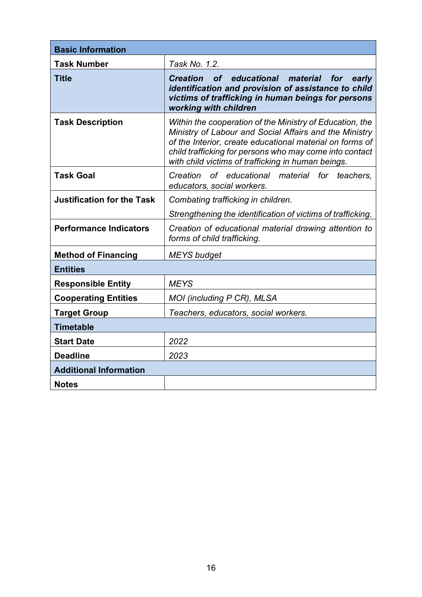| <b>Basic Information</b>          |                                                                                                                                                                                                                                                                                                 |  |
|-----------------------------------|-------------------------------------------------------------------------------------------------------------------------------------------------------------------------------------------------------------------------------------------------------------------------------------------------|--|
| <b>Task Number</b>                | Task No. 1.2.                                                                                                                                                                                                                                                                                   |  |
| <b>Title</b>                      | <b>Creation</b><br>educational material<br><b>of</b><br>for early<br>identification and provision of assistance to child<br>victims of trafficking in human beings for persons<br>working with children                                                                                         |  |
| <b>Task Description</b>           | Within the cooperation of the Ministry of Education, the<br>Ministry of Labour and Social Affairs and the Ministry<br>of the Interior, create educational material on forms of<br>child trafficking for persons who may come into contact<br>with child victims of trafficking in human beings. |  |
| <b>Task Goal</b>                  | Creation<br>of educational material for teachers,<br>educators, social workers.                                                                                                                                                                                                                 |  |
| <b>Justification for the Task</b> | Combating trafficking in children.                                                                                                                                                                                                                                                              |  |
|                                   | Strengthening the identification of victims of trafficking.                                                                                                                                                                                                                                     |  |
| <b>Performance Indicators</b>     | Creation of educational material drawing attention to<br>forms of child trafficking.                                                                                                                                                                                                            |  |
| <b>Method of Financing</b>        | <b>MEYS</b> budget                                                                                                                                                                                                                                                                              |  |
| <b>Entities</b>                   |                                                                                                                                                                                                                                                                                                 |  |
| <b>Responsible Entity</b>         | <b>MEYS</b>                                                                                                                                                                                                                                                                                     |  |
| <b>Cooperating Entities</b>       | MOI (including P CR), MLSA                                                                                                                                                                                                                                                                      |  |
| <b>Target Group</b>               | Teachers, educators, social workers.                                                                                                                                                                                                                                                            |  |
| <b>Timetable</b>                  |                                                                                                                                                                                                                                                                                                 |  |
| <b>Start Date</b>                 | 2022                                                                                                                                                                                                                                                                                            |  |
| <b>Deadline</b>                   | 2023                                                                                                                                                                                                                                                                                            |  |
| <b>Additional Information</b>     |                                                                                                                                                                                                                                                                                                 |  |
| <b>Notes</b>                      |                                                                                                                                                                                                                                                                                                 |  |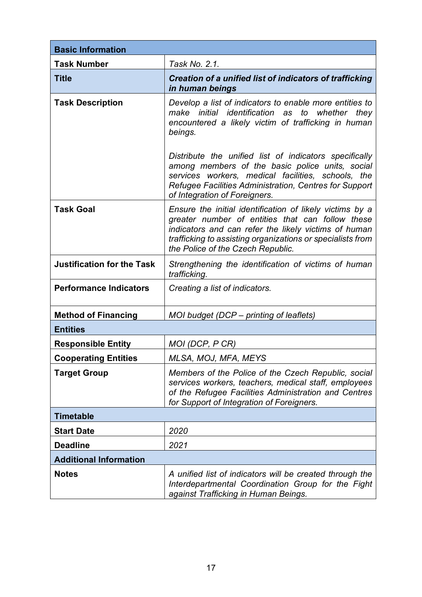| <b>Basic Information</b>          |                                                                                                                                                                                                                                                                         |  |
|-----------------------------------|-------------------------------------------------------------------------------------------------------------------------------------------------------------------------------------------------------------------------------------------------------------------------|--|
| <b>Task Number</b>                | Task No. 2.1.                                                                                                                                                                                                                                                           |  |
| <b>Title</b>                      | Creation of a unified list of indicators of trafficking<br>in human beings                                                                                                                                                                                              |  |
| <b>Task Description</b>           | Develop a list of indicators to enable more entities to<br>make initial identification as to whether they<br>encountered a likely victim of trafficking in human<br>beings.                                                                                             |  |
|                                   | Distribute the unified list of indicators specifically<br>among members of the basic police units, social<br>services workers, medical facilities, schools, the<br>Refugee Facilities Administration, Centres for Support<br>of Integration of Foreigners.              |  |
| <b>Task Goal</b>                  | Ensure the initial identification of likely victims by a<br>greater number of entities that can follow these<br>indicators and can refer the likely victims of human<br>trafficking to assisting organizations or specialists from<br>the Police of the Czech Republic. |  |
| <b>Justification for the Task</b> | Strengthening the identification of victims of human<br>trafficking.                                                                                                                                                                                                    |  |
| <b>Performance Indicators</b>     | Creating a list of indicators.                                                                                                                                                                                                                                          |  |
| <b>Method of Financing</b>        | MOI budget (DCP – printing of leaflets)                                                                                                                                                                                                                                 |  |
| <b>Entities</b>                   |                                                                                                                                                                                                                                                                         |  |
| <b>Responsible Entity</b>         | MOI (DCP, P CR)                                                                                                                                                                                                                                                         |  |
| <b>Cooperating Entities</b>       | MLSA, MOJ, MFA, MEYS                                                                                                                                                                                                                                                    |  |
| <b>Target Group</b>               | Members of the Police of the Czech Republic, social<br>services workers, teachers, medical staff, employees<br>of the Refugee Facilities Administration and Centres<br>for Support of Integration of Foreigners.                                                        |  |
| Timetable                         |                                                                                                                                                                                                                                                                         |  |
| <b>Start Date</b>                 | 2020                                                                                                                                                                                                                                                                    |  |
| <b>Deadline</b>                   | 2021                                                                                                                                                                                                                                                                    |  |
| <b>Additional Information</b>     |                                                                                                                                                                                                                                                                         |  |
| <b>Notes</b>                      | A unified list of indicators will be created through the<br>Interdepartmental Coordination Group for the Fight<br>against Trafficking in Human Beings.                                                                                                                  |  |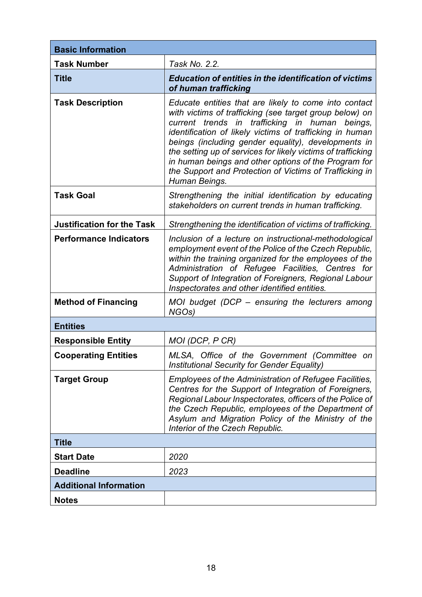| <b>Basic Information</b>          |                                                                                                                                                                                                                                                                                                                                                                                                                                                                                              |  |
|-----------------------------------|----------------------------------------------------------------------------------------------------------------------------------------------------------------------------------------------------------------------------------------------------------------------------------------------------------------------------------------------------------------------------------------------------------------------------------------------------------------------------------------------|--|
| <b>Task Number</b>                | Task No. 2.2.                                                                                                                                                                                                                                                                                                                                                                                                                                                                                |  |
| <b>Title</b>                      | <b>Education of entities in the identification of victims</b><br>of human trafficking                                                                                                                                                                                                                                                                                                                                                                                                        |  |
| <b>Task Description</b>           | Educate entities that are likely to come into contact<br>with victims of trafficking (see target group below) on<br>current trends in trafficking in human<br>beings,<br>identification of likely victims of trafficking in human<br>beings (including gender equality), developments in<br>the setting up of services for likely victims of trafficking<br>in human beings and other options of the Program for<br>the Support and Protection of Victims of Trafficking in<br>Human Beings. |  |
| <b>Task Goal</b>                  | Strengthening the initial identification by educating<br>stakeholders on current trends in human trafficking.                                                                                                                                                                                                                                                                                                                                                                                |  |
| <b>Justification for the Task</b> | Strengthening the identification of victims of trafficking.                                                                                                                                                                                                                                                                                                                                                                                                                                  |  |
| <b>Performance Indicators</b>     | Inclusion of a lecture on instructional-methodological<br>employment event of the Police of the Czech Republic,<br>within the training organized for the employees of the<br>Administration of Refugee Facilities, Centres for<br>Support of Integration of Foreigners, Regional Labour<br>Inspectorates and other identified entities.                                                                                                                                                      |  |
| <b>Method of Financing</b>        | MOI budget (DCP – ensuring the lecturers among<br>NGO <sub>s</sub> )                                                                                                                                                                                                                                                                                                                                                                                                                         |  |
| <b>Entities</b>                   |                                                                                                                                                                                                                                                                                                                                                                                                                                                                                              |  |
| <b>Responsible Entity</b>         | MOI (DCP, P CR)                                                                                                                                                                                                                                                                                                                                                                                                                                                                              |  |
| <b>Cooperating Entities</b>       | MLSA, Office of the Government (Committee<br>on<br>Institutional Security for Gender Equality)                                                                                                                                                                                                                                                                                                                                                                                               |  |
| <b>Target Group</b>               | Employees of the Administration of Refugee Facilities,<br>Centres for the Support of Integration of Foreigners,<br>Regional Labour Inspectorates, officers of the Police of<br>the Czech Republic, employees of the Department of<br>Asylum and Migration Policy of the Ministry of the<br>Interior of the Czech Republic.                                                                                                                                                                   |  |
| <b>Title</b>                      |                                                                                                                                                                                                                                                                                                                                                                                                                                                                                              |  |
| <b>Start Date</b>                 | 2020                                                                                                                                                                                                                                                                                                                                                                                                                                                                                         |  |
| <b>Deadline</b>                   | 2023                                                                                                                                                                                                                                                                                                                                                                                                                                                                                         |  |
| <b>Additional Information</b>     |                                                                                                                                                                                                                                                                                                                                                                                                                                                                                              |  |
| <b>Notes</b>                      |                                                                                                                                                                                                                                                                                                                                                                                                                                                                                              |  |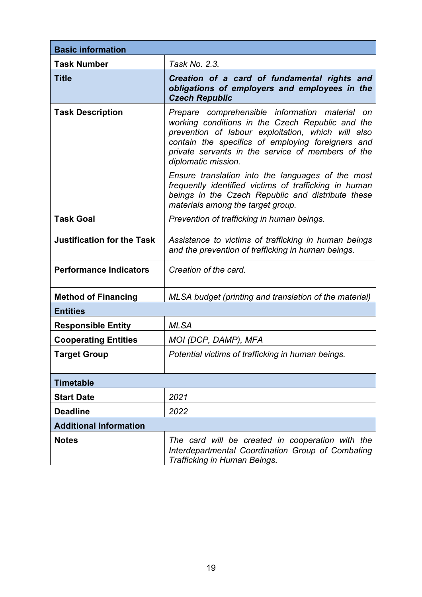| <b>Basic information</b>          |                                                                                                                                                                                                                                                                                           |  |
|-----------------------------------|-------------------------------------------------------------------------------------------------------------------------------------------------------------------------------------------------------------------------------------------------------------------------------------------|--|
| <b>Task Number</b>                | Task No. 2.3.                                                                                                                                                                                                                                                                             |  |
| <b>Title</b>                      | Creation of a card of fundamental rights and<br>obligations of employers and employees in the<br><b>Czech Republic</b>                                                                                                                                                                    |  |
| <b>Task Description</b>           | Prepare comprehensible information material on<br>working conditions in the Czech Republic and the<br>prevention of labour exploitation, which will also<br>contain the specifics of employing foreigners and<br>private servants in the service of members of the<br>diplomatic mission. |  |
|                                   | Ensure translation into the languages of the most<br>frequently identified victims of trafficking in human<br>beings in the Czech Republic and distribute these<br>materials among the target group.                                                                                      |  |
| <b>Task Goal</b>                  | Prevention of trafficking in human beings.                                                                                                                                                                                                                                                |  |
| <b>Justification for the Task</b> | Assistance to victims of trafficking in human beings<br>and the prevention of trafficking in human beings.                                                                                                                                                                                |  |
| <b>Performance Indicators</b>     | Creation of the card.                                                                                                                                                                                                                                                                     |  |
| <b>Method of Financing</b>        | MLSA budget (printing and translation of the material)                                                                                                                                                                                                                                    |  |
| <b>Entities</b>                   |                                                                                                                                                                                                                                                                                           |  |
| <b>Responsible Entity</b>         | <b>MLSA</b>                                                                                                                                                                                                                                                                               |  |
| <b>Cooperating Entities</b>       | MOI (DCP, DAMP), MFA                                                                                                                                                                                                                                                                      |  |
| <b>Target Group</b>               | Potential victims of trafficking in human beings.                                                                                                                                                                                                                                         |  |
| <b>Timetable</b>                  |                                                                                                                                                                                                                                                                                           |  |
| <b>Start Date</b>                 | 2021                                                                                                                                                                                                                                                                                      |  |
| <b>Deadline</b>                   | 2022                                                                                                                                                                                                                                                                                      |  |
| <b>Additional Information</b>     |                                                                                                                                                                                                                                                                                           |  |
| <b>Notes</b>                      | The card will be created in cooperation with the<br>Interdepartmental Coordination Group of Combating<br>Trafficking in Human Beings.                                                                                                                                                     |  |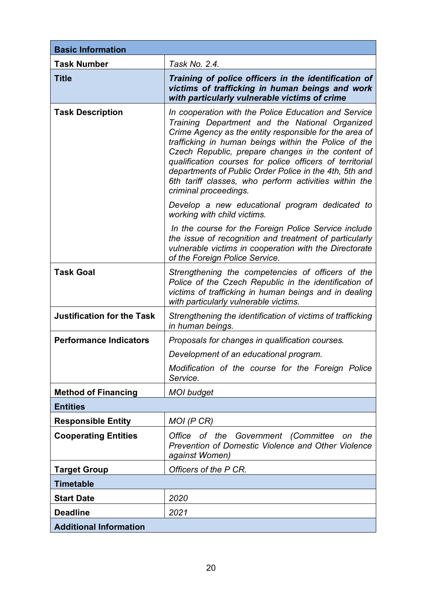| <b>Basic Information</b>          |                                                                                                                                                                                                                                                                                                                                                                                                                                                                                       |  |
|-----------------------------------|---------------------------------------------------------------------------------------------------------------------------------------------------------------------------------------------------------------------------------------------------------------------------------------------------------------------------------------------------------------------------------------------------------------------------------------------------------------------------------------|--|
| <b>Task Number</b>                | Task No. 2.4.                                                                                                                                                                                                                                                                                                                                                                                                                                                                         |  |
| <b>Title</b>                      | Training of police officers in the identification of<br>victims of trafficking in human beings and work<br>with particularly vulnerable victims of crime                                                                                                                                                                                                                                                                                                                              |  |
| <b>Task Description</b>           | In cooperation with the Police Education and Service<br>Training Department and the National Organized<br>Crime Agency as the entity responsible for the area of<br>trafficking in human beings within the Police of the<br>Czech Republic, prepare changes in the content of<br>qualification courses for police officers of territorial<br>departments of Public Order Police in the 4th, 5th and<br>6th tariff classes, who perform activities within the<br>criminal proceedings. |  |
|                                   | Develop a new educational program dedicated to<br>working with child victims.                                                                                                                                                                                                                                                                                                                                                                                                         |  |
|                                   | In the course for the Foreign Police Service include<br>the issue of recognition and treatment of particularly<br>vulnerable victims in cooperation with the Directorate<br>of the Foreign Police Service.                                                                                                                                                                                                                                                                            |  |
| <b>Task Goal</b>                  | Strengthening the competencies of officers of the<br>Police of the Czech Republic in the identification of<br>victims of trafficking in human beings and in dealing<br>with particularly vulnerable victims.                                                                                                                                                                                                                                                                          |  |
| <b>Justification for the Task</b> | Strengthening the identification of victims of trafficking<br>in human beings.                                                                                                                                                                                                                                                                                                                                                                                                        |  |
| <b>Performance Indicators</b>     | Proposals for changes in qualification courses.                                                                                                                                                                                                                                                                                                                                                                                                                                       |  |
|                                   | Development of an educational program.                                                                                                                                                                                                                                                                                                                                                                                                                                                |  |
|                                   | Modification of the course for the Foreign Police<br>Service.                                                                                                                                                                                                                                                                                                                                                                                                                         |  |
| <b>Method of Financing</b>        | <b>MOI</b> budget                                                                                                                                                                                                                                                                                                                                                                                                                                                                     |  |
| <b>Entities</b>                   |                                                                                                                                                                                                                                                                                                                                                                                                                                                                                       |  |
| <b>Responsible Entity</b>         | MOI (P CR)                                                                                                                                                                                                                                                                                                                                                                                                                                                                            |  |
| <b>Cooperating Entities</b>       | Government (Committee<br>Office of the<br>the<br>on<br>Prevention of Domestic Violence and Other Violence<br>against Women)                                                                                                                                                                                                                                                                                                                                                           |  |
| <b>Target Group</b>               | Officers of the P CR.                                                                                                                                                                                                                                                                                                                                                                                                                                                                 |  |
| <b>Timetable</b>                  |                                                                                                                                                                                                                                                                                                                                                                                                                                                                                       |  |
| <b>Start Date</b>                 | 2020                                                                                                                                                                                                                                                                                                                                                                                                                                                                                  |  |
| <b>Deadline</b>                   | 2021                                                                                                                                                                                                                                                                                                                                                                                                                                                                                  |  |
| <b>Additional Information</b>     |                                                                                                                                                                                                                                                                                                                                                                                                                                                                                       |  |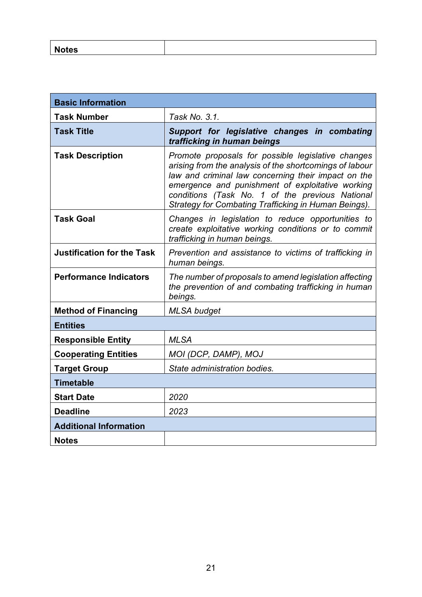| <b>NOTES</b> |  |
|--------------|--|
|              |  |

| <b>Basic Information</b>          |                                                                                                                                                                                                                                                                                                                                     |  |
|-----------------------------------|-------------------------------------------------------------------------------------------------------------------------------------------------------------------------------------------------------------------------------------------------------------------------------------------------------------------------------------|--|
| <b>Task Number</b>                | Task No. 3.1.                                                                                                                                                                                                                                                                                                                       |  |
| <b>Task Title</b>                 | Support for legislative changes in combating<br>trafficking in human beings                                                                                                                                                                                                                                                         |  |
| <b>Task Description</b>           | Promote proposals for possible legislative changes<br>arising from the analysis of the shortcomings of labour<br>law and criminal law concerning their impact on the<br>emergence and punishment of exploitative working<br>conditions (Task No. 1 of the previous National<br>Strategy for Combating Trafficking in Human Beings). |  |
| <b>Task Goal</b>                  | Changes in legislation to reduce opportunities to<br>create exploitative working conditions or to commit<br>trafficking in human beings.                                                                                                                                                                                            |  |
| <b>Justification for the Task</b> | Prevention and assistance to victims of trafficking in<br>human beings.                                                                                                                                                                                                                                                             |  |
| <b>Performance Indicators</b>     | The number of proposals to amend legislation affecting<br>the prevention of and combating trafficking in human<br>beings.                                                                                                                                                                                                           |  |
| <b>Method of Financing</b>        | <b>MLSA</b> budget                                                                                                                                                                                                                                                                                                                  |  |
| <b>Entities</b>                   |                                                                                                                                                                                                                                                                                                                                     |  |
| <b>Responsible Entity</b>         | <b>MLSA</b>                                                                                                                                                                                                                                                                                                                         |  |
| <b>Cooperating Entities</b>       | MOI (DCP, DAMP), MOJ                                                                                                                                                                                                                                                                                                                |  |
| <b>Target Group</b>               | State administration bodies.                                                                                                                                                                                                                                                                                                        |  |
| <b>Timetable</b>                  |                                                                                                                                                                                                                                                                                                                                     |  |
| <b>Start Date</b>                 | 2020                                                                                                                                                                                                                                                                                                                                |  |
| <b>Deadline</b>                   | 2023                                                                                                                                                                                                                                                                                                                                |  |
| <b>Additional Information</b>     |                                                                                                                                                                                                                                                                                                                                     |  |
| <b>Notes</b>                      |                                                                                                                                                                                                                                                                                                                                     |  |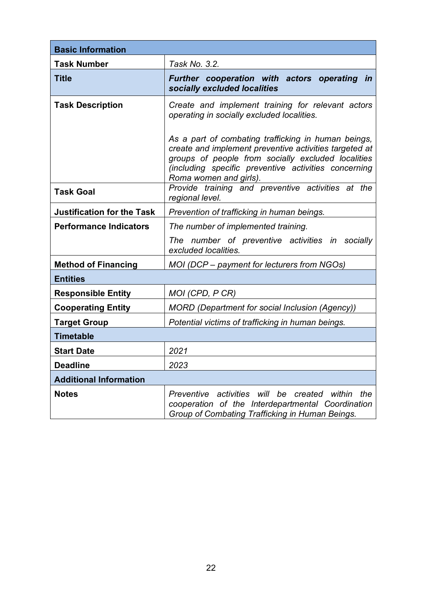| <b>Basic Information</b>          |                                                                                                                                                                                                                                                                                                                                                          |  |
|-----------------------------------|----------------------------------------------------------------------------------------------------------------------------------------------------------------------------------------------------------------------------------------------------------------------------------------------------------------------------------------------------------|--|
| <b>Task Number</b>                | Task No. 3.2.                                                                                                                                                                                                                                                                                                                                            |  |
| <b>Title</b>                      | Further cooperation with actors operating in<br>socially excluded localities                                                                                                                                                                                                                                                                             |  |
| <b>Task Description</b>           | Create and implement training for relevant actors<br>operating in socially excluded localities.<br>As a part of combating trafficking in human beings,<br>create and implement preventive activities targeted at<br>groups of people from socially excluded localities<br>(including specific preventive activities concerning<br>Roma women and girls). |  |
| <b>Task Goal</b>                  | Provide training and preventive activities at the<br>regional level.                                                                                                                                                                                                                                                                                     |  |
| <b>Justification for the Task</b> | Prevention of trafficking in human beings.                                                                                                                                                                                                                                                                                                               |  |
| <b>Performance Indicators</b>     | The number of implemented training.                                                                                                                                                                                                                                                                                                                      |  |
|                                   | The number of preventive activities in socially<br>excluded localities.                                                                                                                                                                                                                                                                                  |  |
| <b>Method of Financing</b>        | MOI (DCP - payment for lecturers from NGOs)                                                                                                                                                                                                                                                                                                              |  |
| <b>Entities</b>                   |                                                                                                                                                                                                                                                                                                                                                          |  |
| <b>Responsible Entity</b>         | MOI (CPD, P CR)                                                                                                                                                                                                                                                                                                                                          |  |
| <b>Cooperating Entity</b>         | <b>MORD</b> (Department for social Inclusion (Agency))                                                                                                                                                                                                                                                                                                   |  |
| <b>Target Group</b>               | Potential victims of trafficking in human beings.                                                                                                                                                                                                                                                                                                        |  |
| <b>Timetable</b>                  |                                                                                                                                                                                                                                                                                                                                                          |  |
| <b>Start Date</b>                 | 2021                                                                                                                                                                                                                                                                                                                                                     |  |
| <b>Deadline</b>                   | 2023                                                                                                                                                                                                                                                                                                                                                     |  |
| <b>Additional Information</b>     |                                                                                                                                                                                                                                                                                                                                                          |  |
| <b>Notes</b>                      | activities will be<br>Preventive<br>created<br>within<br>the<br>cooperation of the Interdepartmental Coordination<br>Group of Combating Trafficking in Human Beings.                                                                                                                                                                                     |  |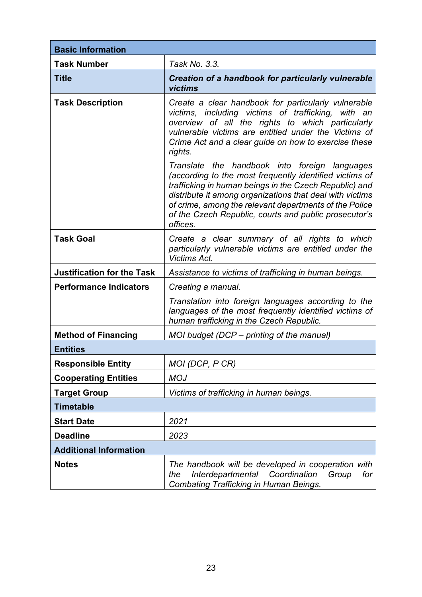| <b>Basic Information</b>          |                                                                                                                                                                                                                                                                                                                                                               |  |
|-----------------------------------|---------------------------------------------------------------------------------------------------------------------------------------------------------------------------------------------------------------------------------------------------------------------------------------------------------------------------------------------------------------|--|
| <b>Task Number</b>                | Task No. 3.3.                                                                                                                                                                                                                                                                                                                                                 |  |
| <b>Title</b>                      | Creation of a handbook for particularly vulnerable<br>victims                                                                                                                                                                                                                                                                                                 |  |
| <b>Task Description</b>           | Create a clear handbook for particularly vulnerable<br>victims, including victims of trafficking, with an<br>overview of all the rights to which particularly<br>vulnerable victims are entitled under the Victims of<br>Crime Act and a clear guide on how to exercise these<br>rights.                                                                      |  |
|                                   | Translate the handbook into foreign languages<br>(according to the most frequently identified victims of<br>trafficking in human beings in the Czech Republic) and<br>distribute it among organizations that deal with victims<br>of crime, among the relevant departments of the Police<br>of the Czech Republic, courts and public prosecutor's<br>offices. |  |
| <b>Task Goal</b>                  | Create a clear summary of all rights to which<br>particularly vulnerable victims are entitled under the<br>Victims Act.                                                                                                                                                                                                                                       |  |
| <b>Justification for the Task</b> | Assistance to victims of trafficking in human beings.                                                                                                                                                                                                                                                                                                         |  |
| <b>Performance Indicators</b>     | Creating a manual.                                                                                                                                                                                                                                                                                                                                            |  |
|                                   | Translation into foreign languages according to the<br>languages of the most frequently identified victims of<br>human trafficking in the Czech Republic.                                                                                                                                                                                                     |  |
| <b>Method of Financing</b>        | MOI budget (DCP – printing of the manual)                                                                                                                                                                                                                                                                                                                     |  |
| <b>Entities</b>                   |                                                                                                                                                                                                                                                                                                                                                               |  |
| <b>Responsible Entity</b>         | MOI (DCP, P CR)                                                                                                                                                                                                                                                                                                                                               |  |
| <b>Cooperating Entities</b>       | <b>MOJ</b>                                                                                                                                                                                                                                                                                                                                                    |  |
| <b>Target Group</b>               | Victims of trafficking in human beings.                                                                                                                                                                                                                                                                                                                       |  |
| <b>Timetable</b>                  |                                                                                                                                                                                                                                                                                                                                                               |  |
| <b>Start Date</b>                 | 2021                                                                                                                                                                                                                                                                                                                                                          |  |
| <b>Deadline</b>                   | 2023                                                                                                                                                                                                                                                                                                                                                          |  |
| <b>Additional Information</b>     |                                                                                                                                                                                                                                                                                                                                                               |  |
| <b>Notes</b>                      | The handbook will be developed in cooperation with<br>Coordination<br>Interdepartmental<br>Group<br>for<br>the<br><b>Combating Trafficking in Human Beings.</b>                                                                                                                                                                                               |  |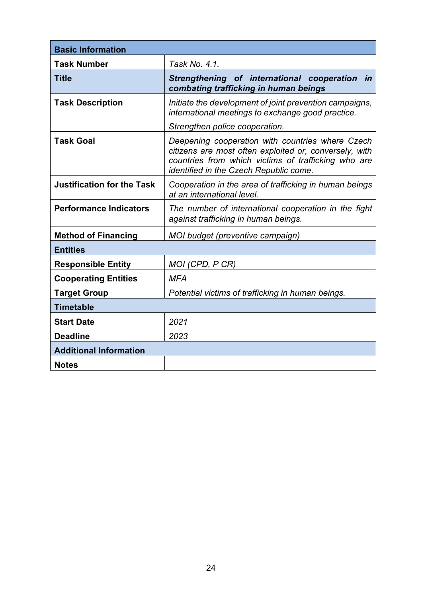| <b>Basic Information</b>          |                                                                                                                                                                                                                    |  |
|-----------------------------------|--------------------------------------------------------------------------------------------------------------------------------------------------------------------------------------------------------------------|--|
| <b>Task Number</b>                | Task No. 4.1.                                                                                                                                                                                                      |  |
| <b>Title</b>                      | Strengthening of international cooperation<br><i>in</i><br>combating trafficking in human beings                                                                                                                   |  |
| <b>Task Description</b>           | Initiate the development of joint prevention campaigns,<br>international meetings to exchange good practice.                                                                                                       |  |
|                                   | Strengthen police cooperation.                                                                                                                                                                                     |  |
| <b>Task Goal</b>                  | Deepening cooperation with countries where Czech<br>citizens are most often exploited or, conversely, with<br>countries from which victims of trafficking who are<br><i>identified in the Czech Republic come.</i> |  |
| <b>Justification for the Task</b> | Cooperation in the area of trafficking in human beings<br>at an international level.                                                                                                                               |  |
| <b>Performance Indicators</b>     | The number of international cooperation in the fight<br>against trafficking in human beings.                                                                                                                       |  |
| <b>Method of Financing</b>        | MOI budget (preventive campaign)                                                                                                                                                                                   |  |
| <b>Entities</b>                   |                                                                                                                                                                                                                    |  |
| <b>Responsible Entity</b>         | MOI (CPD, P CR)                                                                                                                                                                                                    |  |
| <b>Cooperating Entities</b>       | <b>MFA</b>                                                                                                                                                                                                         |  |
| <b>Target Group</b>               | Potential victims of trafficking in human beings.                                                                                                                                                                  |  |
| <b>Timetable</b>                  |                                                                                                                                                                                                                    |  |
| <b>Start Date</b>                 | 2021                                                                                                                                                                                                               |  |
| <b>Deadline</b>                   | 2023                                                                                                                                                                                                               |  |
| <b>Additional Information</b>     |                                                                                                                                                                                                                    |  |
| <b>Notes</b>                      |                                                                                                                                                                                                                    |  |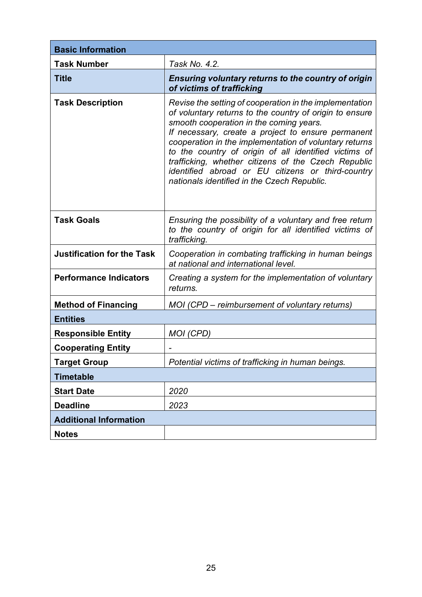| <b>Basic Information</b>          |                                                                                                                                                                                                                                                                                                                                                                                                                                                                                                   |
|-----------------------------------|---------------------------------------------------------------------------------------------------------------------------------------------------------------------------------------------------------------------------------------------------------------------------------------------------------------------------------------------------------------------------------------------------------------------------------------------------------------------------------------------------|
| <b>Task Number</b>                | Task No. 4.2.                                                                                                                                                                                                                                                                                                                                                                                                                                                                                     |
| <b>Title</b>                      | Ensuring voluntary returns to the country of origin<br>of victims of trafficking                                                                                                                                                                                                                                                                                                                                                                                                                  |
| <b>Task Description</b>           | Revise the setting of cooperation in the implementation<br>of voluntary returns to the country of origin to ensure<br>smooth cooperation in the coming years.<br>If necessary, create a project to ensure permanent<br>cooperation in the implementation of voluntary returns<br>to the country of origin of all identified victims of<br>trafficking, whether citizens of the Czech Republic<br>identified abroad or EU citizens or third-country<br>nationals identified in the Czech Republic. |
| <b>Task Goals</b>                 | Ensuring the possibility of a voluntary and free return<br>to the country of origin for all identified victims of<br>trafficking.                                                                                                                                                                                                                                                                                                                                                                 |
| <b>Justification for the Task</b> | Cooperation in combating trafficking in human beings<br>at national and international level.                                                                                                                                                                                                                                                                                                                                                                                                      |
| <b>Performance Indicators</b>     | Creating a system for the implementation of voluntary<br>returns.                                                                                                                                                                                                                                                                                                                                                                                                                                 |
| <b>Method of Financing</b>        | MOI (CPD – reimbursement of voluntary returns)                                                                                                                                                                                                                                                                                                                                                                                                                                                    |
| <b>Entities</b>                   |                                                                                                                                                                                                                                                                                                                                                                                                                                                                                                   |
| <b>Responsible Entity</b>         | MOI (CPD)                                                                                                                                                                                                                                                                                                                                                                                                                                                                                         |
| <b>Cooperating Entity</b>         |                                                                                                                                                                                                                                                                                                                                                                                                                                                                                                   |
| <b>Target Group</b>               | Potential victims of trafficking in human beings.                                                                                                                                                                                                                                                                                                                                                                                                                                                 |
| <b>Timetable</b>                  |                                                                                                                                                                                                                                                                                                                                                                                                                                                                                                   |
| <b>Start Date</b>                 | 2020                                                                                                                                                                                                                                                                                                                                                                                                                                                                                              |
| <b>Deadline</b>                   | 2023                                                                                                                                                                                                                                                                                                                                                                                                                                                                                              |
| <b>Additional Information</b>     |                                                                                                                                                                                                                                                                                                                                                                                                                                                                                                   |
| <b>Notes</b>                      |                                                                                                                                                                                                                                                                                                                                                                                                                                                                                                   |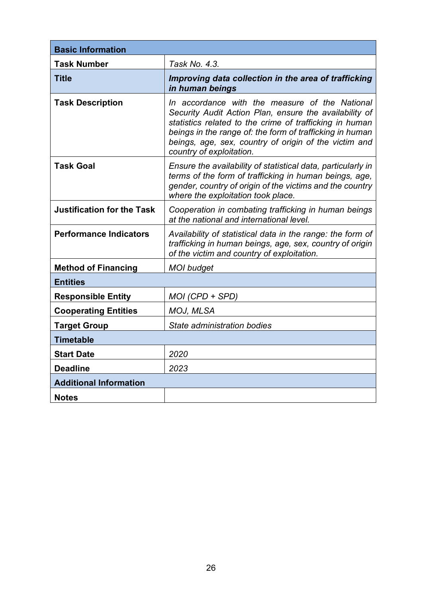| <b>Basic Information</b>          |                                                                                                                                                                                                                                                                                                                      |
|-----------------------------------|----------------------------------------------------------------------------------------------------------------------------------------------------------------------------------------------------------------------------------------------------------------------------------------------------------------------|
| <b>Task Number</b>                | Task No. 4.3.                                                                                                                                                                                                                                                                                                        |
| <b>Title</b>                      | Improving data collection in the area of trafficking<br>in human beings                                                                                                                                                                                                                                              |
| <b>Task Description</b>           | In accordance with the measure of the National<br>Security Audit Action Plan, ensure the availability of<br>statistics related to the crime of trafficking in human<br>beings in the range of: the form of trafficking in human<br>beings, age, sex, country of origin of the victim and<br>country of exploitation. |
| <b>Task Goal</b>                  | Ensure the availability of statistical data, particularly in<br>terms of the form of trafficking in human beings, age,<br>gender, country of origin of the victims and the country<br>where the exploitation took place.                                                                                             |
| <b>Justification for the Task</b> | Cooperation in combating trafficking in human beings<br>at the national and international level.                                                                                                                                                                                                                     |
| <b>Performance Indicators</b>     | Availability of statistical data in the range: the form of<br>trafficking in human beings, age, sex, country of origin<br>of the victim and country of exploitation.                                                                                                                                                 |
| <b>Method of Financing</b>        | <b>MOI</b> budget                                                                                                                                                                                                                                                                                                    |
| <b>Entities</b>                   |                                                                                                                                                                                                                                                                                                                      |
| <b>Responsible Entity</b>         | $MOI$ (CPD + SPD)                                                                                                                                                                                                                                                                                                    |
| <b>Cooperating Entities</b>       | MOJ, MLSA                                                                                                                                                                                                                                                                                                            |
| <b>Target Group</b>               | State administration bodies                                                                                                                                                                                                                                                                                          |
| <b>Timetable</b>                  |                                                                                                                                                                                                                                                                                                                      |
| <b>Start Date</b>                 | 2020                                                                                                                                                                                                                                                                                                                 |
| <b>Deadline</b>                   | 2023                                                                                                                                                                                                                                                                                                                 |
| <b>Additional Information</b>     |                                                                                                                                                                                                                                                                                                                      |
| <b>Notes</b>                      |                                                                                                                                                                                                                                                                                                                      |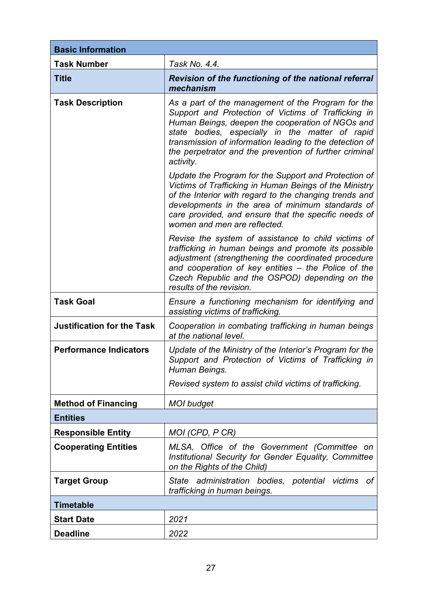| <b>Basic Information</b>          |                                                                                                                                                                                                                                                                                                                                                    |
|-----------------------------------|----------------------------------------------------------------------------------------------------------------------------------------------------------------------------------------------------------------------------------------------------------------------------------------------------------------------------------------------------|
| <b>Task Number</b>                | Task No. 4.4.                                                                                                                                                                                                                                                                                                                                      |
| <b>Title</b>                      | <b>Revision of the functioning of the national referral</b><br>mechanism                                                                                                                                                                                                                                                                           |
| <b>Task Description</b>           | As a part of the management of the Program for the<br>Support and Protection of Victims of Trafficking in<br>Human Beings, deepen the cooperation of NGOs and<br>state bodies, especially in the matter of rapid<br>transmission of information leading to the detection of<br>the perpetrator and the prevention of further criminal<br>activity. |
|                                   | Update the Program for the Support and Protection of<br>Victims of Trafficking in Human Beings of the Ministry<br>of the Interior with regard to the changing trends and<br>developments in the area of minimum standards of<br>care provided, and ensure that the specific needs of<br>women and men are reflected.                               |
|                                   | Revise the system of assistance to child victims of<br>trafficking in human beings and promote its possible<br>adjustment (strengthening the coordinated procedure<br>and cooperation of key entities - the Police of the<br>Czech Republic and the OSPOD) depending on the<br>results of the revision.                                            |
| <b>Task Goal</b>                  | Ensure a functioning mechanism for identifying and<br>assisting victims of trafficking.                                                                                                                                                                                                                                                            |
| <b>Justification for the Task</b> | Cooperation in combating trafficking in human beings<br>at the national level.                                                                                                                                                                                                                                                                     |
| <b>Performance Indicators</b>     | Update of the Ministry of the Interior's Program for the<br>Support and Protection of Victims of Trafficking in<br>Human Beings.<br>Revised system to assist child victims of trafficking.                                                                                                                                                         |
| <b>Method of Financing</b>        | <b>MOI</b> budget                                                                                                                                                                                                                                                                                                                                  |
| <b>Entities</b>                   |                                                                                                                                                                                                                                                                                                                                                    |
| <b>Responsible Entity</b>         | MOI (CPD, P CR)                                                                                                                                                                                                                                                                                                                                    |
| <b>Cooperating Entities</b>       | MLSA, Office of the Government (Committee on<br>Institutional Security for Gender Equality, Committee<br>on the Rights of the Child)                                                                                                                                                                                                               |
| <b>Target Group</b>               | State administration bodies, potential victims of<br>trafficking in human beings.                                                                                                                                                                                                                                                                  |
| <b>Timetable</b>                  |                                                                                                                                                                                                                                                                                                                                                    |
| <b>Start Date</b>                 | 2021                                                                                                                                                                                                                                                                                                                                               |
| <b>Deadline</b>                   | 2022                                                                                                                                                                                                                                                                                                                                               |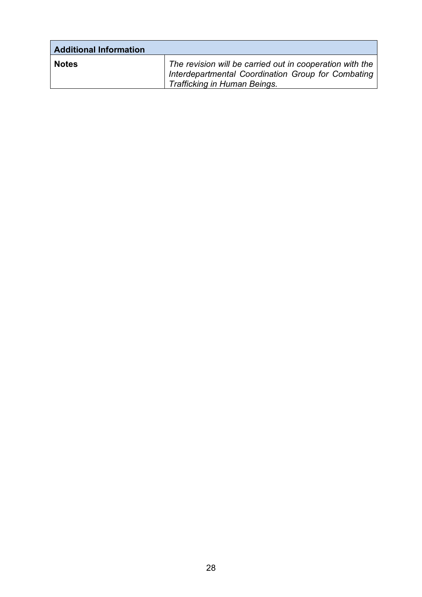| <b>Additional Information</b> |                                                                                                                                                |
|-------------------------------|------------------------------------------------------------------------------------------------------------------------------------------------|
| <b>Notes</b>                  | The revision will be carried out in cooperation with the<br>Interdepartmental Coordination Group for Combating<br>Trafficking in Human Beings. |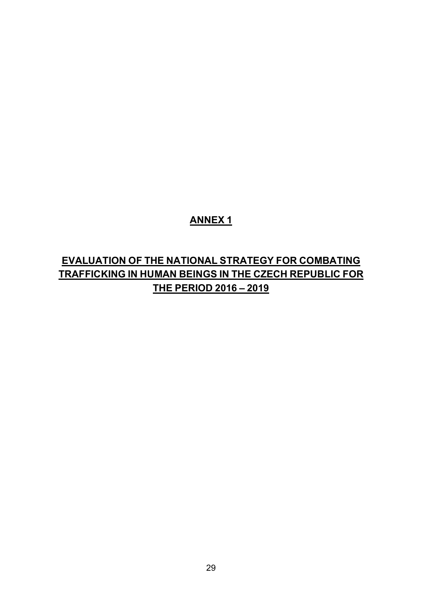# **ANNEX 1**

# **EVALUATION OF THE NATIONAL STRATEGY FOR COMBATING TRAFFICKING IN HUMAN BEINGS IN THE CZECH REPUBLIC FOR THE PERIOD 2016 – 2019**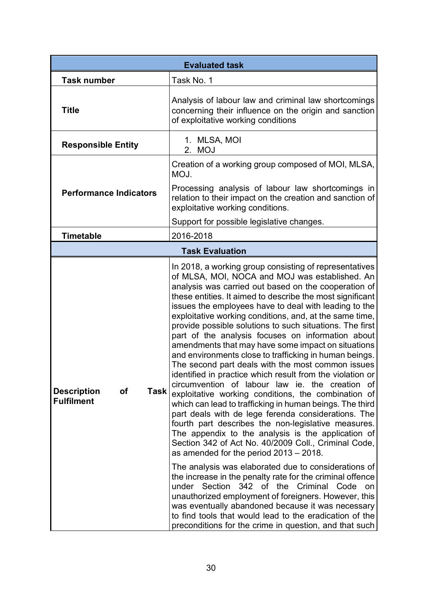| <b>Evaluated task</b>                                 |                                                                                                                                                                                                                                                                                                                                                                                                                                                                                                                                                                                                                                                                                                                                                                                                                                                                                                                                                                                                                                                                                                                                                                                                                                                                                                                                                                                                                                                                                                                                                                  |
|-------------------------------------------------------|------------------------------------------------------------------------------------------------------------------------------------------------------------------------------------------------------------------------------------------------------------------------------------------------------------------------------------------------------------------------------------------------------------------------------------------------------------------------------------------------------------------------------------------------------------------------------------------------------------------------------------------------------------------------------------------------------------------------------------------------------------------------------------------------------------------------------------------------------------------------------------------------------------------------------------------------------------------------------------------------------------------------------------------------------------------------------------------------------------------------------------------------------------------------------------------------------------------------------------------------------------------------------------------------------------------------------------------------------------------------------------------------------------------------------------------------------------------------------------------------------------------------------------------------------------------|
| <b>Task number</b>                                    | Task No. 1                                                                                                                                                                                                                                                                                                                                                                                                                                                                                                                                                                                                                                                                                                                                                                                                                                                                                                                                                                                                                                                                                                                                                                                                                                                                                                                                                                                                                                                                                                                                                       |
| <b>Title</b>                                          | Analysis of labour law and criminal law shortcomings<br>concerning their influence on the origin and sanction<br>of exploitative working conditions                                                                                                                                                                                                                                                                                                                                                                                                                                                                                                                                                                                                                                                                                                                                                                                                                                                                                                                                                                                                                                                                                                                                                                                                                                                                                                                                                                                                              |
| <b>Responsible Entity</b>                             | 1. MLSA, MOI<br>2. MOJ                                                                                                                                                                                                                                                                                                                                                                                                                                                                                                                                                                                                                                                                                                                                                                                                                                                                                                                                                                                                                                                                                                                                                                                                                                                                                                                                                                                                                                                                                                                                           |
|                                                       | Creation of a working group composed of MOI, MLSA,<br>MOJ.                                                                                                                                                                                                                                                                                                                                                                                                                                                                                                                                                                                                                                                                                                                                                                                                                                                                                                                                                                                                                                                                                                                                                                                                                                                                                                                                                                                                                                                                                                       |
| <b>Performance Indicators</b>                         | Processing analysis of labour law shortcomings in<br>relation to their impact on the creation and sanction of<br>exploitative working conditions.                                                                                                                                                                                                                                                                                                                                                                                                                                                                                                                                                                                                                                                                                                                                                                                                                                                                                                                                                                                                                                                                                                                                                                                                                                                                                                                                                                                                                |
|                                                       | Support for possible legislative changes.                                                                                                                                                                                                                                                                                                                                                                                                                                                                                                                                                                                                                                                                                                                                                                                                                                                                                                                                                                                                                                                                                                                                                                                                                                                                                                                                                                                                                                                                                                                        |
| <b>Timetable</b>                                      | 2016-2018                                                                                                                                                                                                                                                                                                                                                                                                                                                                                                                                                                                                                                                                                                                                                                                                                                                                                                                                                                                                                                                                                                                                                                                                                                                                                                                                                                                                                                                                                                                                                        |
|                                                       | <b>Task Evaluation</b>                                                                                                                                                                                                                                                                                                                                                                                                                                                                                                                                                                                                                                                                                                                                                                                                                                                                                                                                                                                                                                                                                                                                                                                                                                                                                                                                                                                                                                                                                                                                           |
| of<br><b>Description</b><br>Task<br><b>Fulfilment</b> | In 2018, a working group consisting of representatives<br>of MLSA, MOI, NOCA and MOJ was established. An<br>analysis was carried out based on the cooperation of<br>these entities. It aimed to describe the most significant<br>issues the employees have to deal with leading to the<br>exploitative working conditions, and, at the same time,<br>provide possible solutions to such situations. The first<br>part of the analysis focuses on information about<br>amendments that may have some impact on situations<br>and environments close to trafficking in human beings.<br>The second part deals with the most common issues<br>identified in practice which result from the violation or<br>circumvention of labour law ie. the creation of<br>exploitative working conditions, the combination of<br>which can lead to trafficking in human beings. The third<br>part deals with de lege ferenda considerations. The<br>fourth part describes the non-legislative measures.<br>The appendix to the analysis is the application of<br>Section 342 of Act No. 40/2009 Coll., Criminal Code,<br>as amended for the period $2013 - 2018$ .<br>The analysis was elaborated due to considerations of<br>the increase in the penalty rate for the criminal offence<br>under Section 342 of the<br>Criminal<br>Code<br>on<br>unauthorized employment of foreigners. However, this<br>was eventually abandoned because it was necessary<br>to find tools that would lead to the eradication of the<br>preconditions for the crime in question, and that such |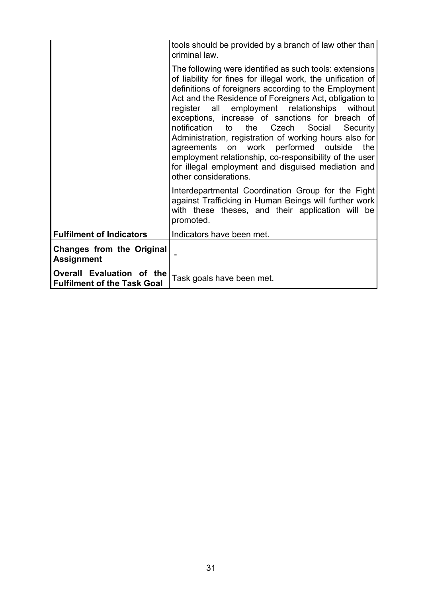|                                                                 | tools should be provided by a branch of law other than<br>criminal law.                                                                                                                                                                                                                                                                                                                                                                                                                                                                                                                                                                                        |
|-----------------------------------------------------------------|----------------------------------------------------------------------------------------------------------------------------------------------------------------------------------------------------------------------------------------------------------------------------------------------------------------------------------------------------------------------------------------------------------------------------------------------------------------------------------------------------------------------------------------------------------------------------------------------------------------------------------------------------------------|
|                                                                 | The following were identified as such tools: extensions<br>of liability for fines for illegal work, the unification of<br>definitions of foreigners according to the Employment<br>Act and the Residence of Foreigners Act, obligation to<br>register all employment relationships without<br>exceptions, increase of sanctions for breach of<br>notification<br>the<br>Czech<br>to<br>Social<br>Security<br>Administration, registration of working hours also for<br>work performed outside<br>agreements on<br>the<br>employment relationship, co-responsibility of the user<br>for illegal employment and disguised mediation and<br>other considerations. |
|                                                                 | Interdepartmental Coordination Group for the Fight<br>against Trafficking in Human Beings will further work<br>with these theses, and their application will be<br>promoted.                                                                                                                                                                                                                                                                                                                                                                                                                                                                                   |
| <b>Fulfilment of Indicators</b>                                 | Indicators have been met.                                                                                                                                                                                                                                                                                                                                                                                                                                                                                                                                                                                                                                      |
| <b>Changes from the Original</b><br><b>Assignment</b>           |                                                                                                                                                                                                                                                                                                                                                                                                                                                                                                                                                                                                                                                                |
| Overall Evaluation of the<br><b>Fulfilment of the Task Goal</b> | Task goals have been met.                                                                                                                                                                                                                                                                                                                                                                                                                                                                                                                                                                                                                                      |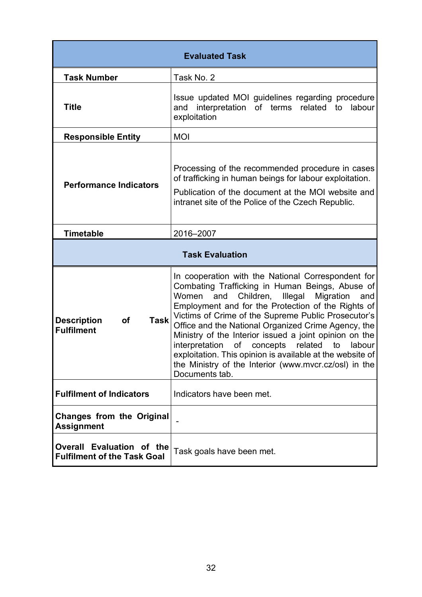| <b>Evaluated Task</b>                                               |                                                                                                                                                                                                                                                                                                                                                                                                                                                                                                                                                                                                  |  |
|---------------------------------------------------------------------|--------------------------------------------------------------------------------------------------------------------------------------------------------------------------------------------------------------------------------------------------------------------------------------------------------------------------------------------------------------------------------------------------------------------------------------------------------------------------------------------------------------------------------------------------------------------------------------------------|--|
| <b>Task Number</b>                                                  | Task No. 2                                                                                                                                                                                                                                                                                                                                                                                                                                                                                                                                                                                       |  |
| <b>Title</b>                                                        | Issue updated MOI guidelines regarding procedure<br>and interpretation of terms related to<br>labour<br>exploitation                                                                                                                                                                                                                                                                                                                                                                                                                                                                             |  |
| <b>Responsible Entity</b>                                           | <b>MOI</b>                                                                                                                                                                                                                                                                                                                                                                                                                                                                                                                                                                                       |  |
| <b>Performance Indicators</b>                                       | Processing of the recommended procedure in cases<br>of trafficking in human beings for labour exploitation.<br>Publication of the document at the MOI website and<br>intranet site of the Police of the Czech Republic.                                                                                                                                                                                                                                                                                                                                                                          |  |
| <b>Timetable</b>                                                    | 2016-2007                                                                                                                                                                                                                                                                                                                                                                                                                                                                                                                                                                                        |  |
| <b>Task Evaluation</b>                                              |                                                                                                                                                                                                                                                                                                                                                                                                                                                                                                                                                                                                  |  |
| <b>Description</b><br><b>Task</b><br><b>of</b><br><b>Fulfilment</b> | In cooperation with the National Correspondent for<br>Combating Trafficking in Human Beings, Abuse of<br>Children,<br>Women<br>and<br>Illegal<br>Migration<br>and<br>Employment and for the Protection of the Rights of<br>Victims of Crime of the Supreme Public Prosecutor's<br>Office and the National Organized Crime Agency, the<br>Ministry of the Interior issued a joint opinion on the<br>interpretation<br>of concepts related<br>to<br>labour<br>exploitation. This opinion is available at the website of<br>the Ministry of the Interior (www.mvcr.cz/osl) in the<br>Documents tab. |  |
| <b>Fulfilment of Indicators</b>                                     | Indicators have been met.                                                                                                                                                                                                                                                                                                                                                                                                                                                                                                                                                                        |  |
| <b>Changes from the Original</b><br><b>Assignment</b>               |                                                                                                                                                                                                                                                                                                                                                                                                                                                                                                                                                                                                  |  |
| Evaluation of the<br>Overall<br><b>Fulfilment of the Task Goal</b>  | Task goals have been met.                                                                                                                                                                                                                                                                                                                                                                                                                                                                                                                                                                        |  |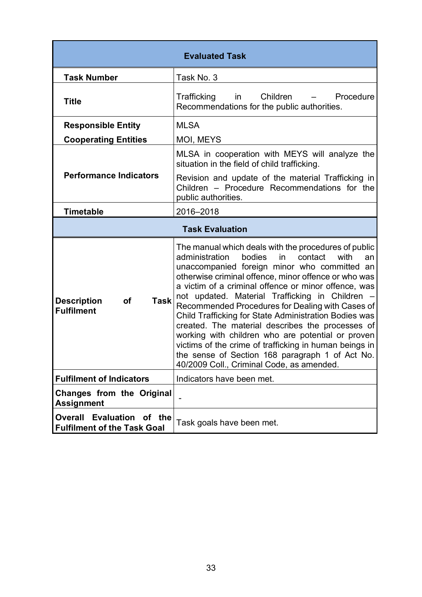| <b>Evaluated Task</b>                                           |                                                                                                                                                                                                                                                                                                                                                                                                                                                                                                                                                                                                                                                                                                                    |
|-----------------------------------------------------------------|--------------------------------------------------------------------------------------------------------------------------------------------------------------------------------------------------------------------------------------------------------------------------------------------------------------------------------------------------------------------------------------------------------------------------------------------------------------------------------------------------------------------------------------------------------------------------------------------------------------------------------------------------------------------------------------------------------------------|
| <b>Task Number</b>                                              | Task No. 3                                                                                                                                                                                                                                                                                                                                                                                                                                                                                                                                                                                                                                                                                                         |
| <b>Title</b>                                                    | Trafficking<br>Children<br>Procedure<br>in<br>Recommendations for the public authorities.                                                                                                                                                                                                                                                                                                                                                                                                                                                                                                                                                                                                                          |
| <b>Responsible Entity</b>                                       | <b>MLSA</b>                                                                                                                                                                                                                                                                                                                                                                                                                                                                                                                                                                                                                                                                                                        |
| <b>Cooperating Entities</b>                                     | MOI, MEYS                                                                                                                                                                                                                                                                                                                                                                                                                                                                                                                                                                                                                                                                                                          |
|                                                                 | MLSA in cooperation with MEYS will analyze the<br>situation in the field of child trafficking.                                                                                                                                                                                                                                                                                                                                                                                                                                                                                                                                                                                                                     |
| <b>Performance Indicators</b>                                   | Revision and update of the material Trafficking in<br>Children - Procedure Recommendations for the<br>public authorities.                                                                                                                                                                                                                                                                                                                                                                                                                                                                                                                                                                                          |
| <b>Timetable</b>                                                | 2016-2018                                                                                                                                                                                                                                                                                                                                                                                                                                                                                                                                                                                                                                                                                                          |
| <b>Task Evaluation</b>                                          |                                                                                                                                                                                                                                                                                                                                                                                                                                                                                                                                                                                                                                                                                                                    |
| <b>Task</b><br><b>Description</b><br>of<br><b>Fulfilment</b>    | The manual which deals with the procedures of public<br>in<br>contact<br>with<br>administration<br>bodies<br>an<br>unaccompanied foreign minor who committed an<br>otherwise criminal offence, minor offence or who was<br>a victim of a criminal offence or minor offence, was<br>not updated. Material Trafficking in Children -<br>Recommended Procedures for Dealing with Cases of<br>Child Trafficking for State Administration Bodies was<br>created. The material describes the processes of<br>working with children who are potential or proven<br>victims of the crime of trafficking in human beings in<br>the sense of Section 168 paragraph 1 of Act No.<br>40/2009 Coll., Criminal Code, as amended. |
| <b>Fulfilment of Indicators</b>                                 | Indicators have been met.                                                                                                                                                                                                                                                                                                                                                                                                                                                                                                                                                                                                                                                                                          |
| <b>Changes from the Original</b><br><b>Assignment</b>           |                                                                                                                                                                                                                                                                                                                                                                                                                                                                                                                                                                                                                                                                                                                    |
| Overall Evaluation of the<br><b>Fulfilment of the Task Goal</b> | Task goals have been met.                                                                                                                                                                                                                                                                                                                                                                                                                                                                                                                                                                                                                                                                                          |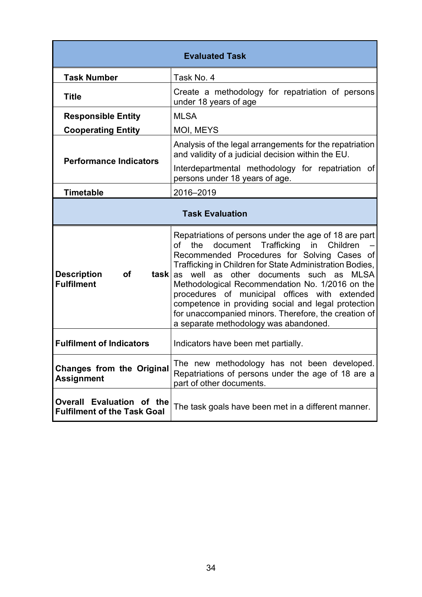| <b>Evaluated Task</b>                                           |                                                                                                                                                                                                                                                                                                                                                                                                                                                                                                                                                         |
|-----------------------------------------------------------------|---------------------------------------------------------------------------------------------------------------------------------------------------------------------------------------------------------------------------------------------------------------------------------------------------------------------------------------------------------------------------------------------------------------------------------------------------------------------------------------------------------------------------------------------------------|
| <b>Task Number</b>                                              | Task No. 4                                                                                                                                                                                                                                                                                                                                                                                                                                                                                                                                              |
| <b>Title</b>                                                    | Create a methodology for repatriation of persons<br>under 18 years of age                                                                                                                                                                                                                                                                                                                                                                                                                                                                               |
| <b>Responsible Entity</b>                                       | <b>MLSA</b>                                                                                                                                                                                                                                                                                                                                                                                                                                                                                                                                             |
| <b>Cooperating Entity</b>                                       | MOI, MEYS                                                                                                                                                                                                                                                                                                                                                                                                                                                                                                                                               |
| <b>Performance Indicators</b>                                   | Analysis of the legal arrangements for the repatriation<br>and validity of a judicial decision within the EU.                                                                                                                                                                                                                                                                                                                                                                                                                                           |
|                                                                 | Interdepartmental methodology for repatriation of<br>persons under 18 years of age.                                                                                                                                                                                                                                                                                                                                                                                                                                                                     |
| <b>Timetable</b>                                                | 2016-2019                                                                                                                                                                                                                                                                                                                                                                                                                                                                                                                                               |
| <b>Task Evaluation</b>                                          |                                                                                                                                                                                                                                                                                                                                                                                                                                                                                                                                                         |
| <b>Description</b><br>οf<br><b>Fulfilment</b>                   | Repatriations of persons under the age of 18 are part<br>document<br>Trafficking<br>the<br>in<br>Children<br>οf<br>Recommended Procedures for Solving Cases of<br>Trafficking in Children for State Administration Bodies,<br><b>task</b> as well as other documents such as<br><b>MLSA</b><br>Methodological Recommendation No. 1/2016 on the<br>procedures of municipal offices with extended<br>competence in providing social and legal protection<br>for unaccompanied minors. Therefore, the creation of<br>a separate methodology was abandoned. |
| <b>Fulfilment of Indicators</b>                                 | Indicators have been met partially.                                                                                                                                                                                                                                                                                                                                                                                                                                                                                                                     |
| <b>Changes from the Original</b><br><b>Assignment</b>           | The new methodology has not been developed.<br>Repatriations of persons under the age of 18 are a<br>part of other documents.                                                                                                                                                                                                                                                                                                                                                                                                                           |
| Overall Evaluation of the<br><b>Fulfilment of the Task Goal</b> | The task goals have been met in a different manner.                                                                                                                                                                                                                                                                                                                                                                                                                                                                                                     |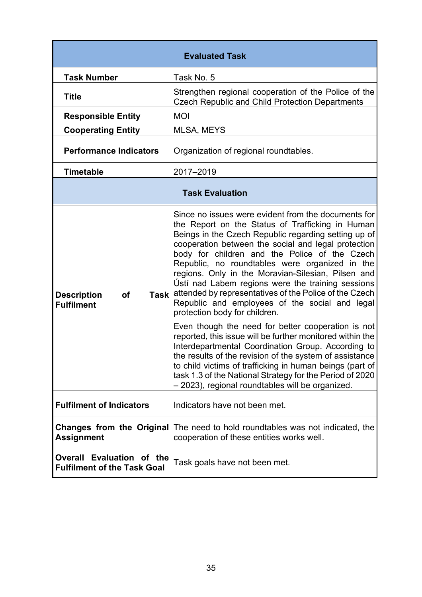| <b>Evaluated Task</b>                                               |                                                                                                                                                                                                                                                                                                                                                                                                                                                                                                                                                                                   |  |
|---------------------------------------------------------------------|-----------------------------------------------------------------------------------------------------------------------------------------------------------------------------------------------------------------------------------------------------------------------------------------------------------------------------------------------------------------------------------------------------------------------------------------------------------------------------------------------------------------------------------------------------------------------------------|--|
| <b>Task Number</b>                                                  | Task No. 5                                                                                                                                                                                                                                                                                                                                                                                                                                                                                                                                                                        |  |
| <b>Title</b>                                                        | Strengthen regional cooperation of the Police of the<br><b>Czech Republic and Child Protection Departments</b>                                                                                                                                                                                                                                                                                                                                                                                                                                                                    |  |
| <b>Responsible Entity</b>                                           | <b>MOI</b>                                                                                                                                                                                                                                                                                                                                                                                                                                                                                                                                                                        |  |
| <b>Cooperating Entity</b>                                           | MLSA, MEYS                                                                                                                                                                                                                                                                                                                                                                                                                                                                                                                                                                        |  |
| <b>Performance Indicators</b>                                       | Organization of regional roundtables.                                                                                                                                                                                                                                                                                                                                                                                                                                                                                                                                             |  |
| <b>Timetable</b>                                                    | 2017-2019                                                                                                                                                                                                                                                                                                                                                                                                                                                                                                                                                                         |  |
| <b>Task Evaluation</b>                                              |                                                                                                                                                                                                                                                                                                                                                                                                                                                                                                                                                                                   |  |
| <b>Description</b><br><b>of</b><br><b>Task</b><br><b>Fulfilment</b> | Since no issues were evident from the documents for<br>the Report on the Status of Trafficking in Human<br>Beings in the Czech Republic regarding setting up of<br>cooperation between the social and legal protection<br>body for children and the Police of the Czech<br>Republic, no roundtables were organized in the<br>regions. Only in the Moravian-Silesian, Pilsen and<br>Ústí nad Labem regions were the training sessions<br>attended by representatives of the Police of the Czech<br>Republic and employees of the social and legal<br>protection body for children. |  |
|                                                                     | Even though the need for better cooperation is not<br>reported, this issue will be further monitored within the<br>Interdepartmental Coordination Group. According to<br>the results of the revision of the system of assistance<br>to child victims of trafficking in human beings (part of<br>task 1.3 of the National Strategy for the Period of 2020<br>- 2023), regional roundtables will be organized.                                                                                                                                                                      |  |
| <b>Fulfilment of Indicators</b>                                     | Indicators have not been met.                                                                                                                                                                                                                                                                                                                                                                                                                                                                                                                                                     |  |
| <b>Changes from the Original</b><br><b>Assignment</b>               | The need to hold roundtables was not indicated, the<br>cooperation of these entities works well.                                                                                                                                                                                                                                                                                                                                                                                                                                                                                  |  |
| Overall Evaluation of the<br><b>Fulfilment of the Task Goal</b>     | Task goals have not been met.                                                                                                                                                                                                                                                                                                                                                                                                                                                                                                                                                     |  |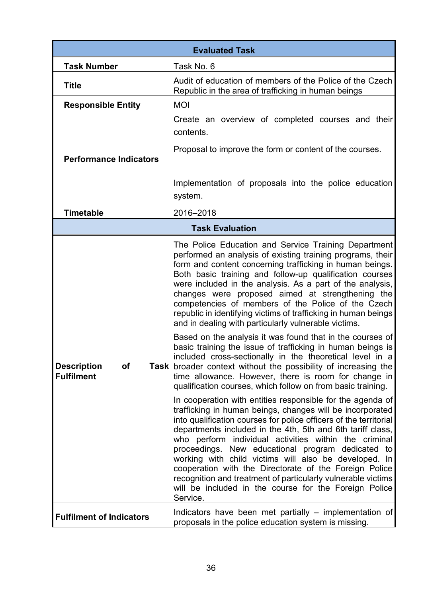| <b>Evaluated Task</b>                                  |                                                                                                                                                                                                                                                                                                                                                                                                                                                                                                                                                                                                                                                                                                                                                                                                                                                                                                                                                                                                                                                                                                                                                                                                                                                                                                                                                                                                                                                                                                                                                           |
|--------------------------------------------------------|-----------------------------------------------------------------------------------------------------------------------------------------------------------------------------------------------------------------------------------------------------------------------------------------------------------------------------------------------------------------------------------------------------------------------------------------------------------------------------------------------------------------------------------------------------------------------------------------------------------------------------------------------------------------------------------------------------------------------------------------------------------------------------------------------------------------------------------------------------------------------------------------------------------------------------------------------------------------------------------------------------------------------------------------------------------------------------------------------------------------------------------------------------------------------------------------------------------------------------------------------------------------------------------------------------------------------------------------------------------------------------------------------------------------------------------------------------------------------------------------------------------------------------------------------------------|
| <b>Task Number</b>                                     | Task No. 6                                                                                                                                                                                                                                                                                                                                                                                                                                                                                                                                                                                                                                                                                                                                                                                                                                                                                                                                                                                                                                                                                                                                                                                                                                                                                                                                                                                                                                                                                                                                                |
| <b>Title</b>                                           | Audit of education of members of the Police of the Czech<br>Republic in the area of trafficking in human beings                                                                                                                                                                                                                                                                                                                                                                                                                                                                                                                                                                                                                                                                                                                                                                                                                                                                                                                                                                                                                                                                                                                                                                                                                                                                                                                                                                                                                                           |
| <b>Responsible Entity</b>                              | <b>MOI</b>                                                                                                                                                                                                                                                                                                                                                                                                                                                                                                                                                                                                                                                                                                                                                                                                                                                                                                                                                                                                                                                                                                                                                                                                                                                                                                                                                                                                                                                                                                                                                |
|                                                        | Create an overview of completed courses and their<br>contents.                                                                                                                                                                                                                                                                                                                                                                                                                                                                                                                                                                                                                                                                                                                                                                                                                                                                                                                                                                                                                                                                                                                                                                                                                                                                                                                                                                                                                                                                                            |
| <b>Performance Indicators</b>                          | Proposal to improve the form or content of the courses.                                                                                                                                                                                                                                                                                                                                                                                                                                                                                                                                                                                                                                                                                                                                                                                                                                                                                                                                                                                                                                                                                                                                                                                                                                                                                                                                                                                                                                                                                                   |
|                                                        | Implementation of proposals into the police education<br>system.                                                                                                                                                                                                                                                                                                                                                                                                                                                                                                                                                                                                                                                                                                                                                                                                                                                                                                                                                                                                                                                                                                                                                                                                                                                                                                                                                                                                                                                                                          |
| <b>Timetable</b>                                       | 2016-2018                                                                                                                                                                                                                                                                                                                                                                                                                                                                                                                                                                                                                                                                                                                                                                                                                                                                                                                                                                                                                                                                                                                                                                                                                                                                                                                                                                                                                                                                                                                                                 |
|                                                        | <b>Task Evaluation</b>                                                                                                                                                                                                                                                                                                                                                                                                                                                                                                                                                                                                                                                                                                                                                                                                                                                                                                                                                                                                                                                                                                                                                                                                                                                                                                                                                                                                                                                                                                                                    |
| <b>Description</b><br>of<br>Taskl<br><b>Fulfilment</b> | The Police Education and Service Training Department<br>performed an analysis of existing training programs, their<br>form and content concerning trafficking in human beings.<br>Both basic training and follow-up qualification courses<br>were included in the analysis. As a part of the analysis,<br>changes were proposed aimed at strengthening the<br>competencies of members of the Police of the Czech<br>republic in identifying victims of trafficking in human beings<br>and in dealing with particularly vulnerable victims.<br>Based on the analysis it was found that in the courses of<br>basic training the issue of trafficking in human beings is<br>included cross-sectionally in the theoretical level in a<br>broader context without the possibility of increasing the<br>time allowance. However, there is room for change in<br>qualification courses, which follow on from basic training.<br>In cooperation with entities responsible for the agenda of<br>trafficking in human beings, changes will be incorporated<br>into qualification courses for police officers of the territorial<br>departments included in the 4th, 5th and 6th tariff class,<br>who perform individual activities within the criminal<br>proceedings. New educational program dedicated to<br>working with child victims will also be developed. In<br>cooperation with the Directorate of the Foreign Police<br>recognition and treatment of particularly vulnerable victims<br>will be included in the course for the Foreign Police<br>Service. |
| <b>Fulfilment of Indicators</b>                        | Indicators have been met partially – implementation of<br>proposals in the police education system is missing.                                                                                                                                                                                                                                                                                                                                                                                                                                                                                                                                                                                                                                                                                                                                                                                                                                                                                                                                                                                                                                                                                                                                                                                                                                                                                                                                                                                                                                            |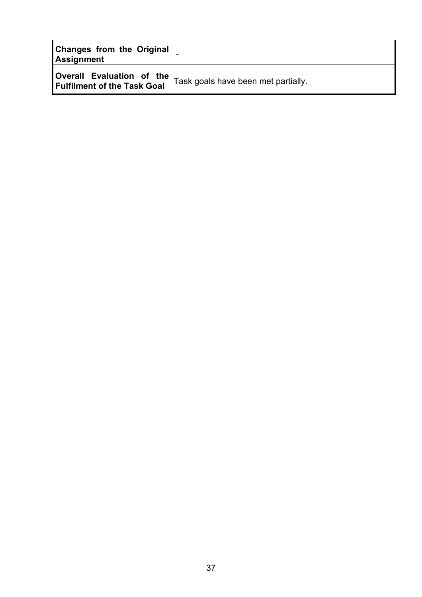| Changes from the Original<br>Assignment |                                                                               |
|-----------------------------------------|-------------------------------------------------------------------------------|
| <b>Fulfilment of the Task Goal</b>      | <b>(Overall Evaluation of the</b> $\vert$ Task goals have been met partially. |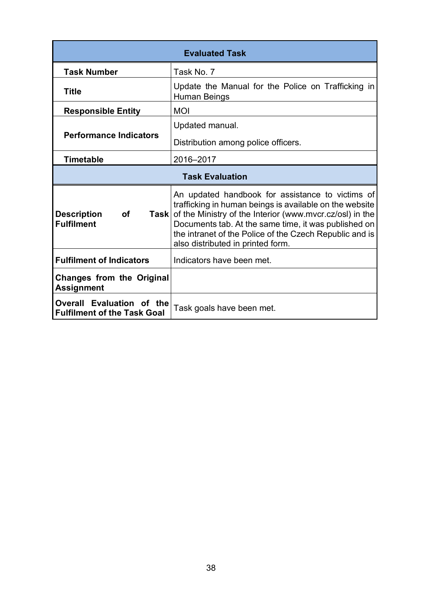| <b>Evaluated Task</b>                                           |                                                                                                                                                                                                                                                                                                                                 |  |  |  |  |
|-----------------------------------------------------------------|---------------------------------------------------------------------------------------------------------------------------------------------------------------------------------------------------------------------------------------------------------------------------------------------------------------------------------|--|--|--|--|
| <b>Task Number</b>                                              | Task No. 7                                                                                                                                                                                                                                                                                                                      |  |  |  |  |
| <b>Title</b>                                                    | Update the Manual for the Police on Trafficking in<br>Human Beings                                                                                                                                                                                                                                                              |  |  |  |  |
| <b>Responsible Entity</b>                                       | <b>MOI</b>                                                                                                                                                                                                                                                                                                                      |  |  |  |  |
|                                                                 | Updated manual.                                                                                                                                                                                                                                                                                                                 |  |  |  |  |
| <b>Performance Indicators</b>                                   | Distribution among police officers.                                                                                                                                                                                                                                                                                             |  |  |  |  |
| <b>Timetable</b>                                                | 2016-2017                                                                                                                                                                                                                                                                                                                       |  |  |  |  |
|                                                                 | <b>Task Evaluation</b>                                                                                                                                                                                                                                                                                                          |  |  |  |  |
| <b>Description</b><br><b>of</b><br>Taskl<br><b>Fulfilment</b>   | An updated handbook for assistance to victims of<br>trafficking in human beings is available on the website<br>of the Ministry of the Interior (www.mvcr.cz/osl) in the<br>Documents tab. At the same time, it was published on<br>the intranet of the Police of the Czech Republic and is<br>also distributed in printed form. |  |  |  |  |
| <b>Fulfilment of Indicators</b>                                 | Indicators have been met.                                                                                                                                                                                                                                                                                                       |  |  |  |  |
| <b>Changes from the Original</b><br><b>Assignment</b>           |                                                                                                                                                                                                                                                                                                                                 |  |  |  |  |
| Overall Evaluation of the<br><b>Fulfilment of the Task Goal</b> | Task goals have been met.                                                                                                                                                                                                                                                                                                       |  |  |  |  |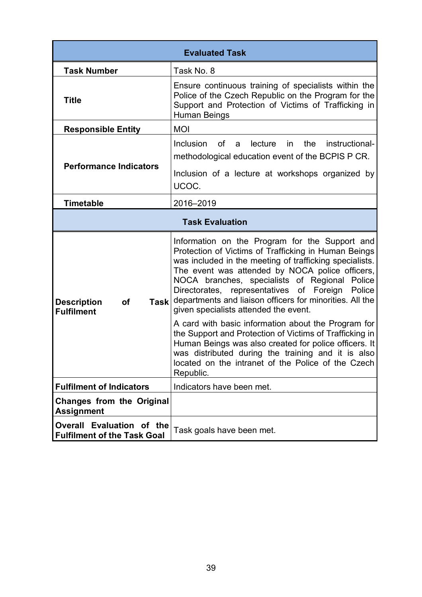|                                                                     | <b>Evaluated Task</b>                                                                                                                                                                                                                                                                                                                                                                                                                                                                                                                                                                                                                                                                                                             |  |  |
|---------------------------------------------------------------------|-----------------------------------------------------------------------------------------------------------------------------------------------------------------------------------------------------------------------------------------------------------------------------------------------------------------------------------------------------------------------------------------------------------------------------------------------------------------------------------------------------------------------------------------------------------------------------------------------------------------------------------------------------------------------------------------------------------------------------------|--|--|
| <b>Task Number</b>                                                  | Task No. 8                                                                                                                                                                                                                                                                                                                                                                                                                                                                                                                                                                                                                                                                                                                        |  |  |
| <b>Title</b>                                                        | Ensure continuous training of specialists within the<br>Police of the Czech Republic on the Program for the<br>Support and Protection of Victims of Trafficking in<br>Human Beings                                                                                                                                                                                                                                                                                                                                                                                                                                                                                                                                                |  |  |
| <b>Responsible Entity</b>                                           | <b>MOI</b>                                                                                                                                                                                                                                                                                                                                                                                                                                                                                                                                                                                                                                                                                                                        |  |  |
| <b>Performance Indicators</b>                                       | the<br>instructional-<br><b>Inclusion</b><br>lecture<br>0f<br>in<br>a<br>methodological education event of the BCPIS P CR.<br>Inclusion of a lecture at workshops organized by<br>UCOC.                                                                                                                                                                                                                                                                                                                                                                                                                                                                                                                                           |  |  |
| <b>Timetable</b>                                                    | 2016-2019                                                                                                                                                                                                                                                                                                                                                                                                                                                                                                                                                                                                                                                                                                                         |  |  |
|                                                                     | <b>Task Evaluation</b>                                                                                                                                                                                                                                                                                                                                                                                                                                                                                                                                                                                                                                                                                                            |  |  |
| <b>Description</b><br><b>of</b><br><b>Task</b><br><b>Fulfilment</b> | Information on the Program for the Support and<br>Protection of Victims of Trafficking in Human Beings<br>was included in the meeting of trafficking specialists.<br>The event was attended by NOCA police officers,<br>NOCA branches, specialists of Regional Police<br>Directorates, representatives of Foreign Police<br>departments and liaison officers for minorities. All the<br>given specialists attended the event.<br>A card with basic information about the Program for<br>the Support and Protection of Victims of Trafficking in<br>Human Beings was also created for police officers. It<br>was distributed during the training and it is also<br>located on the intranet of the Police of the Czech<br>Republic. |  |  |
| <b>Fulfilment of Indicators</b>                                     | Indicators have been met.                                                                                                                                                                                                                                                                                                                                                                                                                                                                                                                                                                                                                                                                                                         |  |  |
| <b>Changes from the Original</b><br><b>Assignment</b>               |                                                                                                                                                                                                                                                                                                                                                                                                                                                                                                                                                                                                                                                                                                                                   |  |  |
| Overall Evaluation of the<br><b>Fulfilment of the Task Goal</b>     | Task goals have been met.                                                                                                                                                                                                                                                                                                                                                                                                                                                                                                                                                                                                                                                                                                         |  |  |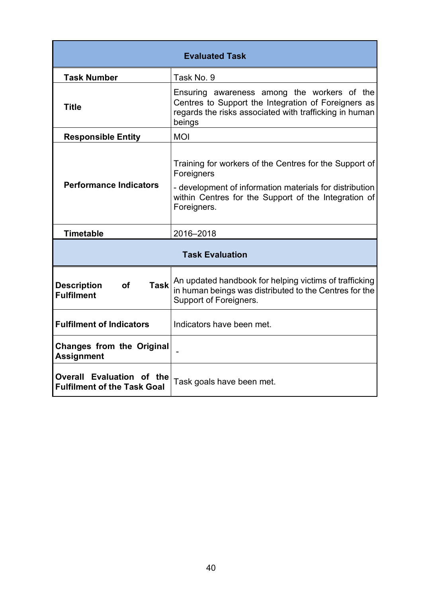| <b>Evaluated Task</b>                                               |                                                                                                                                                                                                        |  |  |  |  |
|---------------------------------------------------------------------|--------------------------------------------------------------------------------------------------------------------------------------------------------------------------------------------------------|--|--|--|--|
| <b>Task Number</b>                                                  | Task No. 9                                                                                                                                                                                             |  |  |  |  |
| <b>Title</b>                                                        | Ensuring awareness among the workers of the<br>Centres to Support the Integration of Foreigners as<br>regards the risks associated with trafficking in human<br>beings                                 |  |  |  |  |
| <b>Responsible Entity</b>                                           | <b>MOI</b>                                                                                                                                                                                             |  |  |  |  |
| <b>Performance Indicators</b>                                       | Training for workers of the Centres for the Support of<br>Foreigners<br>- development of information materials for distribution<br>within Centres for the Support of the Integration of<br>Foreigners. |  |  |  |  |
| <b>Timetable</b>                                                    | 2016-2018                                                                                                                                                                                              |  |  |  |  |
|                                                                     | <b>Task Evaluation</b>                                                                                                                                                                                 |  |  |  |  |
| <b>Task</b><br><b>Description</b><br><b>of</b><br><b>Fulfilment</b> | An updated handbook for helping victims of trafficking<br>in human beings was distributed to the Centres for the<br>Support of Foreigners.                                                             |  |  |  |  |
| <b>Fulfilment of Indicators</b>                                     | Indicators have been met.                                                                                                                                                                              |  |  |  |  |
| <b>Changes from the Original</b><br><b>Assignment</b>               |                                                                                                                                                                                                        |  |  |  |  |
| Overall Evaluation of the<br><b>Fulfilment of the Task Goal</b>     | Task goals have been met.                                                                                                                                                                              |  |  |  |  |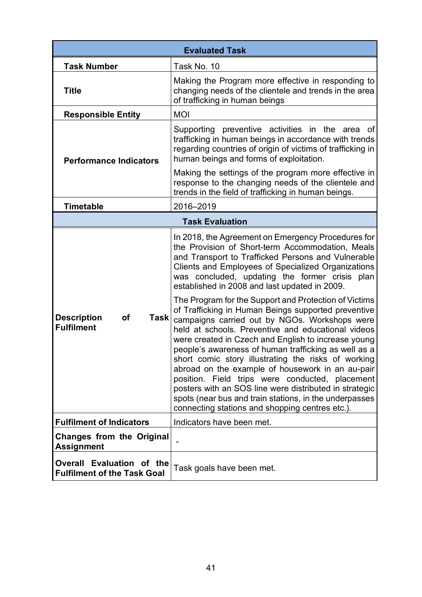|                                                                           | <b>Evaluated Task</b>                                                                                                                                                                                                                                                                                                                                                                                                                                                                                                                                                                                          |
|---------------------------------------------------------------------------|----------------------------------------------------------------------------------------------------------------------------------------------------------------------------------------------------------------------------------------------------------------------------------------------------------------------------------------------------------------------------------------------------------------------------------------------------------------------------------------------------------------------------------------------------------------------------------------------------------------|
| <b>Task Number</b>                                                        | Task No. 10                                                                                                                                                                                                                                                                                                                                                                                                                                                                                                                                                                                                    |
| <b>Title</b>                                                              | Making the Program more effective in responding to<br>changing needs of the clientele and trends in the area<br>of trafficking in human beings                                                                                                                                                                                                                                                                                                                                                                                                                                                                 |
| <b>Responsible Entity</b>                                                 | <b>MOI</b>                                                                                                                                                                                                                                                                                                                                                                                                                                                                                                                                                                                                     |
| <b>Performance Indicators</b>                                             | Supporting preventive activities in the area<br>оf<br>trafficking in human beings in accordance with trends<br>regarding countries of origin of victims of trafficking in<br>human beings and forms of exploitation.                                                                                                                                                                                                                                                                                                                                                                                           |
|                                                                           | Making the settings of the program more effective in<br>response to the changing needs of the clientele and<br>trends in the field of trafficking in human beings.                                                                                                                                                                                                                                                                                                                                                                                                                                             |
| Timetable                                                                 | 2016-2019                                                                                                                                                                                                                                                                                                                                                                                                                                                                                                                                                                                                      |
|                                                                           | <b>Task Evaluation</b>                                                                                                                                                                                                                                                                                                                                                                                                                                                                                                                                                                                         |
|                                                                           | In 2018, the Agreement on Emergency Procedures for<br>the Provision of Short-term Accommodation, Meals<br>and Transport to Trafficked Persons and Vulnerable<br>Clients and Employees of Specialized Organizations<br>was concluded, updating the former crisis plan<br>established in 2008 and last updated in 2009.<br>The Program for the Support and Protection of Victims                                                                                                                                                                                                                                 |
| <b>Description</b><br>of<br>Task<br><b>Fulfilment</b>                     | of Trafficking in Human Beings supported preventive<br>campaigns carried out by NGOs. Workshops were<br>held at schools. Preventive and educational videos<br>were created in Czech and English to increase young<br>people's awareness of human trafficking as well as a<br>short comic story illustrating the risks of working<br>abroad on the example of housework in an au-pair<br>position. Field trips were conducted, placement<br>posters with an SOS line were distributed in strategic<br>spots (near bus and train stations, in the underpasses<br>connecting stations and shopping centres etc.). |
| <b>Fulfilment of Indicators</b>                                           | Indicators have been met.                                                                                                                                                                                                                                                                                                                                                                                                                                                                                                                                                                                      |
| <b>Changes from the Original</b><br><b>Assignment</b>                     |                                                                                                                                                                                                                                                                                                                                                                                                                                                                                                                                                                                                                |
| Evaluation of the<br><b>Overall</b><br><b>Fulfilment of the Task Goal</b> | Task goals have been met.                                                                                                                                                                                                                                                                                                                                                                                                                                                                                                                                                                                      |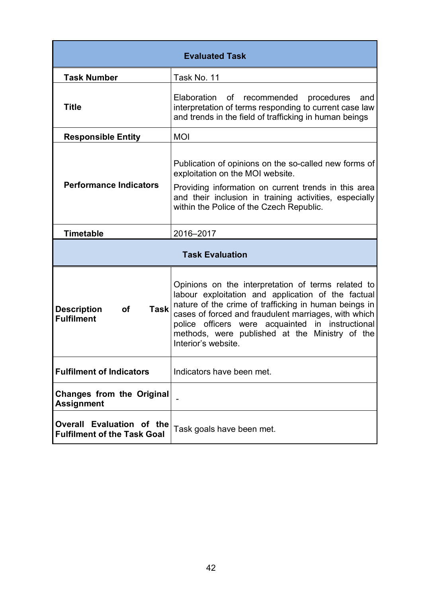| <b>Evaluated Task</b>                                               |                                                                                                                                                                                                                                                                                                                                                        |  |  |  |
|---------------------------------------------------------------------|--------------------------------------------------------------------------------------------------------------------------------------------------------------------------------------------------------------------------------------------------------------------------------------------------------------------------------------------------------|--|--|--|
| <b>Task Number</b>                                                  | Task No. 11                                                                                                                                                                                                                                                                                                                                            |  |  |  |
| <b>Title</b>                                                        | Elaboration of recommended<br>procedures<br>and<br>interpretation of terms responding to current case law<br>and trends in the field of trafficking in human beings                                                                                                                                                                                    |  |  |  |
| <b>Responsible Entity</b>                                           | <b>MOI</b>                                                                                                                                                                                                                                                                                                                                             |  |  |  |
| <b>Performance Indicators</b>                                       | Publication of opinions on the so-called new forms of<br>exploitation on the MOI website.<br>Providing information on current trends in this area<br>and their inclusion in training activities, especially<br>within the Police of the Czech Republic.                                                                                                |  |  |  |
| <b>Timetable</b>                                                    | 2016-2017                                                                                                                                                                                                                                                                                                                                              |  |  |  |
|                                                                     | <b>Task Evaluation</b>                                                                                                                                                                                                                                                                                                                                 |  |  |  |
| <b>Task</b><br><b>Description</b><br><b>of</b><br><b>Fulfilment</b> | Opinions on the interpretation of terms related to<br>labour exploitation and application of the factual<br>nature of the crime of trafficking in human beings in<br>cases of forced and fraudulent marriages, with which<br>police officers were acquainted in instructional<br>methods, were published at the Ministry of the<br>Interior's website. |  |  |  |
| <b>Fulfilment of Indicators</b>                                     | Indicators have been met.                                                                                                                                                                                                                                                                                                                              |  |  |  |
| <b>Changes from the Original</b><br><b>Assignment</b>               |                                                                                                                                                                                                                                                                                                                                                        |  |  |  |
| Overall Evaluation of the<br><b>Fulfilment of the Task Goal</b>     | Task goals have been met.                                                                                                                                                                                                                                                                                                                              |  |  |  |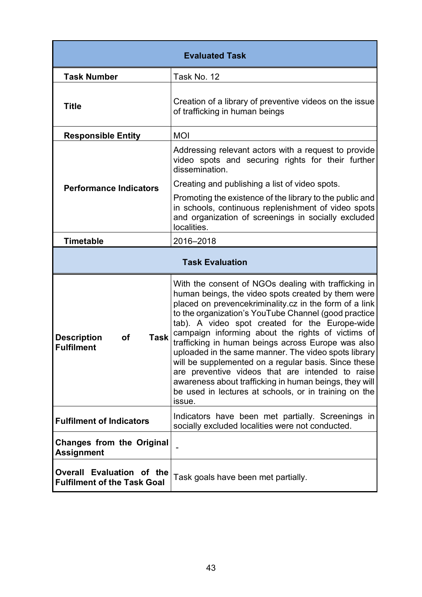| <b>Evaluated Task</b>                                               |                                                                                                                                                                                                                                                                                                                                                                                                                                                                                                                                                                                                                                                                                            |  |  |  |
|---------------------------------------------------------------------|--------------------------------------------------------------------------------------------------------------------------------------------------------------------------------------------------------------------------------------------------------------------------------------------------------------------------------------------------------------------------------------------------------------------------------------------------------------------------------------------------------------------------------------------------------------------------------------------------------------------------------------------------------------------------------------------|--|--|--|
| <b>Task Number</b>                                                  | Task No. 12                                                                                                                                                                                                                                                                                                                                                                                                                                                                                                                                                                                                                                                                                |  |  |  |
| <b>Title</b>                                                        | Creation of a library of preventive videos on the issue<br>of trafficking in human beings                                                                                                                                                                                                                                                                                                                                                                                                                                                                                                                                                                                                  |  |  |  |
| <b>Responsible Entity</b>                                           | <b>MOI</b>                                                                                                                                                                                                                                                                                                                                                                                                                                                                                                                                                                                                                                                                                 |  |  |  |
|                                                                     | Addressing relevant actors with a request to provide<br>video spots and securing rights for their further<br>dissemination.                                                                                                                                                                                                                                                                                                                                                                                                                                                                                                                                                                |  |  |  |
| <b>Performance Indicators</b>                                       | Creating and publishing a list of video spots.                                                                                                                                                                                                                                                                                                                                                                                                                                                                                                                                                                                                                                             |  |  |  |
|                                                                     | Promoting the existence of the library to the public and<br>in schools, continuous replenishment of video spots<br>and organization of screenings in socially excluded<br>localities.                                                                                                                                                                                                                                                                                                                                                                                                                                                                                                      |  |  |  |
| Timetable                                                           | 2016-2018                                                                                                                                                                                                                                                                                                                                                                                                                                                                                                                                                                                                                                                                                  |  |  |  |
|                                                                     | <b>Task Evaluation</b>                                                                                                                                                                                                                                                                                                                                                                                                                                                                                                                                                                                                                                                                     |  |  |  |
| <b>Description</b><br><b>Task</b><br><b>of</b><br><b>Fulfilment</b> | With the consent of NGOs dealing with trafficking in<br>human beings, the video spots created by them were<br>placed on prevencekriminality.cz in the form of a link<br>to the organization's YouTube Channel (good practice<br>tab). A video spot created for the Europe-wide<br>campaign informing about the rights of victims of<br>trafficking in human beings across Europe was also<br>uploaded in the same manner. The video spots library<br>will be supplemented on a regular basis. Since these<br>are preventive videos that are intended to raise<br>awareness about trafficking in human beings, they will<br>be used in lectures at schools, or in training on the<br>issue. |  |  |  |
| <b>Fulfilment of Indicators</b>                                     | Indicators have been met partially. Screenings in<br>socially excluded localities were not conducted.                                                                                                                                                                                                                                                                                                                                                                                                                                                                                                                                                                                      |  |  |  |
| <b>Changes from the Original</b><br><b>Assignment</b>               |                                                                                                                                                                                                                                                                                                                                                                                                                                                                                                                                                                                                                                                                                            |  |  |  |
| Overall Evaluation of the<br><b>Fulfilment of the Task Goal</b>     | Task goals have been met partially.                                                                                                                                                                                                                                                                                                                                                                                                                                                                                                                                                                                                                                                        |  |  |  |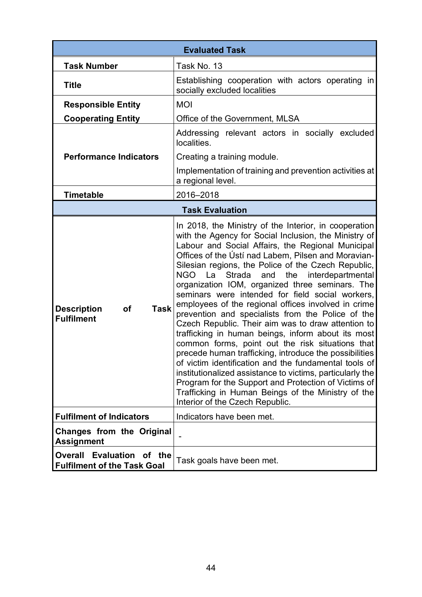|                                                                     | <b>Evaluated Task</b>                                                                                                                                                                                                                                                                                                                                                                                                                                                                                                                                                                                                                                                                                                                                                                                                                                                                                                                                                                                                                                     |
|---------------------------------------------------------------------|-----------------------------------------------------------------------------------------------------------------------------------------------------------------------------------------------------------------------------------------------------------------------------------------------------------------------------------------------------------------------------------------------------------------------------------------------------------------------------------------------------------------------------------------------------------------------------------------------------------------------------------------------------------------------------------------------------------------------------------------------------------------------------------------------------------------------------------------------------------------------------------------------------------------------------------------------------------------------------------------------------------------------------------------------------------|
| <b>Task Number</b>                                                  | Task No. 13                                                                                                                                                                                                                                                                                                                                                                                                                                                                                                                                                                                                                                                                                                                                                                                                                                                                                                                                                                                                                                               |
| <b>Title</b>                                                        | Establishing cooperation with actors operating in<br>socially excluded localities                                                                                                                                                                                                                                                                                                                                                                                                                                                                                                                                                                                                                                                                                                                                                                                                                                                                                                                                                                         |
| <b>Responsible Entity</b>                                           | <b>MOI</b>                                                                                                                                                                                                                                                                                                                                                                                                                                                                                                                                                                                                                                                                                                                                                                                                                                                                                                                                                                                                                                                |
| <b>Cooperating Entity</b>                                           | Office of the Government, MLSA                                                                                                                                                                                                                                                                                                                                                                                                                                                                                                                                                                                                                                                                                                                                                                                                                                                                                                                                                                                                                            |
|                                                                     | Addressing relevant actors in socially excluded<br>localities.                                                                                                                                                                                                                                                                                                                                                                                                                                                                                                                                                                                                                                                                                                                                                                                                                                                                                                                                                                                            |
| <b>Performance Indicators</b>                                       | Creating a training module.                                                                                                                                                                                                                                                                                                                                                                                                                                                                                                                                                                                                                                                                                                                                                                                                                                                                                                                                                                                                                               |
|                                                                     | Implementation of training and prevention activities at<br>a regional level.                                                                                                                                                                                                                                                                                                                                                                                                                                                                                                                                                                                                                                                                                                                                                                                                                                                                                                                                                                              |
| <b>Timetable</b>                                                    | 2016-2018                                                                                                                                                                                                                                                                                                                                                                                                                                                                                                                                                                                                                                                                                                                                                                                                                                                                                                                                                                                                                                                 |
|                                                                     | <b>Task Evaluation</b>                                                                                                                                                                                                                                                                                                                                                                                                                                                                                                                                                                                                                                                                                                                                                                                                                                                                                                                                                                                                                                    |
| <b>Task</b><br><b>Description</b><br><b>of</b><br><b>Fulfilment</b> | In 2018, the Ministry of the Interior, in cooperation<br>with the Agency for Social Inclusion, the Ministry of<br>Labour and Social Affairs, the Regional Municipal<br>Offices of the Ústí nad Labem, Pilsen and Moravian-<br>Silesian regions, the Police of the Czech Republic,<br>NGO La<br>and the<br>interdepartmental<br>Strada<br>organization IOM, organized three seminars. The<br>seminars were intended for field social workers,<br>employees of the regional offices involved in crime<br>prevention and specialists from the Police of the<br>Czech Republic. Their aim was to draw attention to<br>trafficking in human beings, inform about its most<br>common forms, point out the risk situations that<br>precede human trafficking, introduce the possibilities<br>of victim identification and the fundamental tools of<br>institutionalized assistance to victims, particularly the<br>Program for the Support and Protection of Victims of<br>Trafficking in Human Beings of the Ministry of the<br>Interior of the Czech Republic. |
| <b>Fulfilment of Indicators</b>                                     | Indicators have been met.                                                                                                                                                                                                                                                                                                                                                                                                                                                                                                                                                                                                                                                                                                                                                                                                                                                                                                                                                                                                                                 |
| Changes from the Original<br><b>Assignment</b>                      |                                                                                                                                                                                                                                                                                                                                                                                                                                                                                                                                                                                                                                                                                                                                                                                                                                                                                                                                                                                                                                                           |
| Evaluation of the<br>Overall<br><b>Fulfilment of the Task Goal</b>  | Task goals have been met.                                                                                                                                                                                                                                                                                                                                                                                                                                                                                                                                                                                                                                                                                                                                                                                                                                                                                                                                                                                                                                 |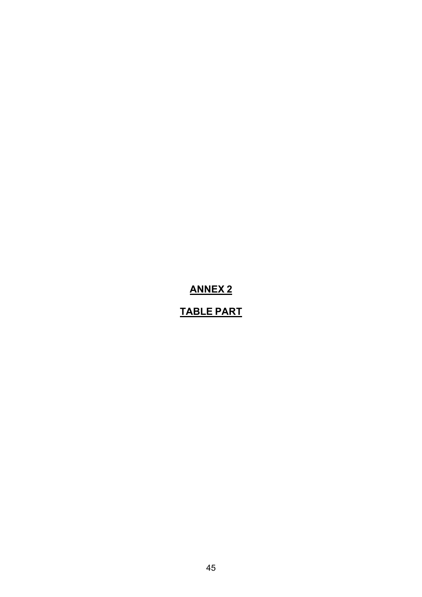# **ANNEX 2**

# **TABLE PART**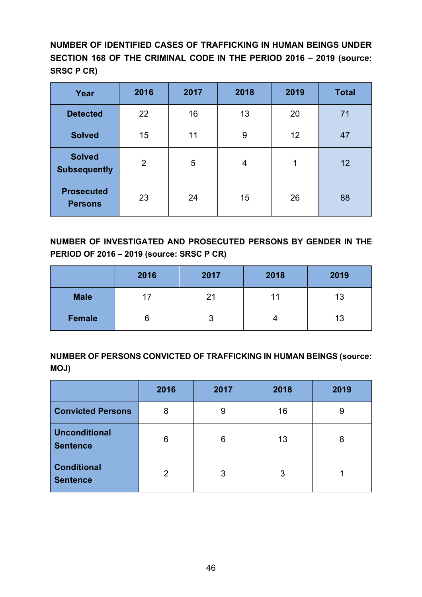**NUMBER OF IDENTIFIED CASES OF TRAFFICKING IN HUMAN BEINGS UNDER SECTION 168 OF THE CRIMINAL CODE IN THE PERIOD 2016 – 2019 (source: SRSC P CR)**

| Year                                 | 2016 | 2017 | 2018 | 2019 | <b>Total</b> |
|--------------------------------------|------|------|------|------|--------------|
| <b>Detected</b>                      | 22   | 16   | 13   | 20   | 71           |
| <b>Solved</b>                        | 15   | 11   | 9    | 12   | 47           |
| <b>Solved</b><br><b>Subsequently</b> | 2    | 5    | 4    | 1    | 12           |
| <b>Prosecuted</b><br><b>Persons</b>  | 23   | 24   | 15   | 26   | 88           |

**NUMBER OF INVESTIGATED AND PROSECUTED PERSONS BY GENDER IN THE PERIOD OF 2016 – 2019 (source: SRSC P CR)**

|               | 2016 | 2017 | 2018 | 2019 |
|---------------|------|------|------|------|
| <b>Male</b>   |      | 21   | 11   | 13   |
| <b>Female</b> | O    | J    | 4    | 13   |

**NUMBER OF PERSONS CONVICTED OF TRAFFICKING IN HUMAN BEINGS (source: MOJ)**

|                                         | 2016 | 2017 | 2018 | 2019 |
|-----------------------------------------|------|------|------|------|
| <b>Convicted Persons</b>                | 8    | 9    | 16   | 9    |
| <b>Unconditional</b><br><b>Sentence</b> | 6    | 6    | 13   | 8    |
| <b>Conditional</b><br><b>Sentence</b>   | 2    | 3    | 3    |      |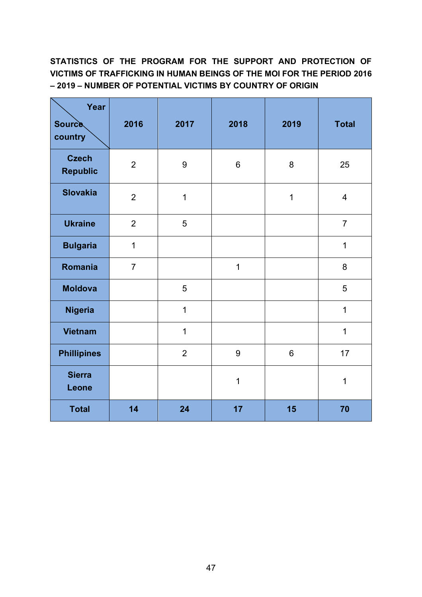#### **STATISTICS OF THE PROGRAM FOR THE SUPPORT AND PROTECTION OF VICTIMS OF TRAFFICKING IN HUMAN BEINGS OF THE MOI FOR THE PERIOD 2016 – 2019 – NUMBER OF POTENTIAL VICTIMS BY COUNTRY OF ORIGIN**

| Year<br><b>Source</b><br>country | 2016           | 2017           | 2018             | 2019           | <b>Total</b>   |
|----------------------------------|----------------|----------------|------------------|----------------|----------------|
| <b>Czech</b><br><b>Republic</b>  | $\overline{2}$ | 9              | 6                | 8              | 25             |
| <b>Slovakia</b>                  | $\overline{2}$ | $\mathbf 1$    |                  | 1              | $\overline{4}$ |
| <b>Ukraine</b>                   | $\overline{2}$ | 5              |                  |                | $\overline{7}$ |
| <b>Bulgaria</b>                  | $\mathbf{1}$   |                |                  |                | $\mathbf{1}$   |
| Romania                          | $\overline{7}$ |                | $\mathbf 1$      |                | 8              |
| <b>Moldova</b>                   |                | 5              |                  |                | 5              |
| <b>Nigeria</b>                   |                | $\mathbf{1}$   |                  |                | $\mathbf{1}$   |
| <b>Vietnam</b>                   |                | $\mathbf 1$    |                  |                | $\mathbf 1$    |
| <b>Phillipines</b>               |                | $\overline{2}$ | $\boldsymbol{9}$ | $6\phantom{1}$ | 17             |
| <b>Sierra</b><br>Leone           |                |                | $\mathbf 1$      |                | $\mathbf 1$    |
| <b>Total</b>                     | 14             | 24             | 17               | 15             | 70             |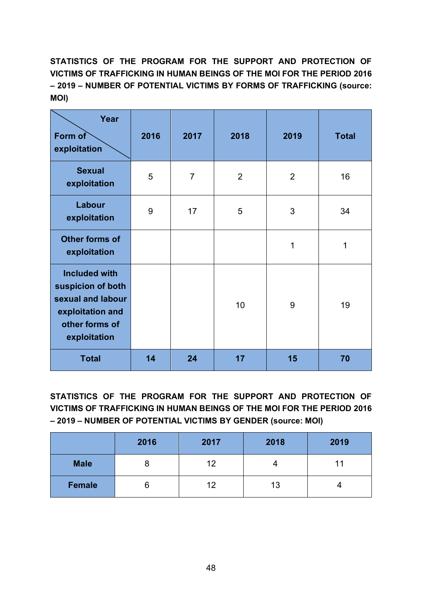**STATISTICS OF THE PROGRAM FOR THE SUPPORT AND PROTECTION OF VICTIMS OF TRAFFICKING IN HUMAN BEINGS OF THE MOI FOR THE PERIOD 2016 – 2019 – NUMBER OF POTENTIAL VICTIMS BY FORMS OF TRAFFICKING (source: MOI)** 

| Year<br>Form of<br>exploitation                                                                                      | 2016 | 2017           | 2018 | 2019           | <b>Total</b> |
|----------------------------------------------------------------------------------------------------------------------|------|----------------|------|----------------|--------------|
| <b>Sexual</b><br>exploitation                                                                                        | 5    | $\overline{7}$ | 2    | $\overline{2}$ | 16           |
| Labour<br>exploitation                                                                                               | 9    | 17             | 5    | 3              | 34           |
| <b>Other forms of</b><br>exploitation                                                                                |      |                |      | 1              | 1            |
| <b>Included with</b><br>suspicion of both<br>sexual and labour<br>exploitation and<br>other forms of<br>exploitation |      |                | 10   | 9              | 19           |
| <b>Total</b>                                                                                                         | 14   | 24             | 17   | 15             | 70           |

**STATISTICS OF THE PROGRAM FOR THE SUPPORT AND PROTECTION OF VICTIMS OF TRAFFICKING IN HUMAN BEINGS OF THE MOI FOR THE PERIOD 2016 – 2019 – NUMBER OF POTENTIAL VICTIMS BY GENDER (source: MOI)** 

|             | 2016 | 2017 | 2018 | 2019 |
|-------------|------|------|------|------|
| <b>Male</b> | O    | 12   |      |      |
| Female      | o    | 12   | 13   |      |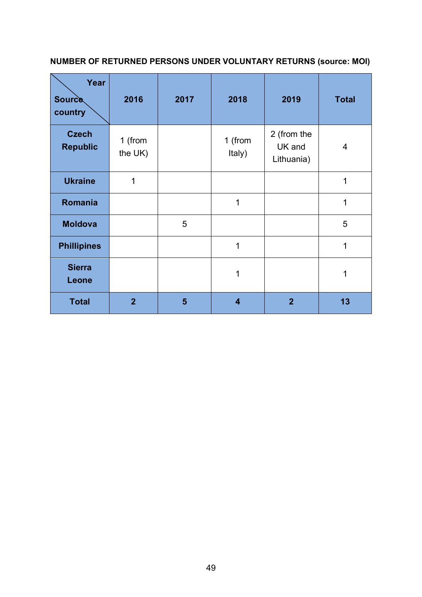## **NUMBER OF RETURNED PERSONS UNDER VOLUNTARY RETURNS (source: MOI)**

| Year<br><b>Source</b><br>country | 2016               | 2017 | 2018                    | 2019                                | <b>Total</b> |
|----------------------------------|--------------------|------|-------------------------|-------------------------------------|--------------|
| <b>Czech</b><br><b>Republic</b>  | 1 (from<br>the UK) |      | 1 (from<br>Italy)       | 2 (from the<br>UK and<br>Lithuania) | 4            |
| <b>Ukraine</b>                   | 1                  |      |                         |                                     | 1            |
| Romania                          |                    |      | 1                       |                                     | 1            |
| <b>Moldova</b>                   |                    | 5    |                         |                                     | 5            |
| <b>Phillipines</b>               |                    |      | 1                       |                                     | 1            |
| <b>Sierra</b><br>Leone           |                    |      | 1                       |                                     | 1            |
| <b>Total</b>                     | $\overline{2}$     | 5    | $\overline{\mathbf{4}}$ | $\overline{2}$                      | 13           |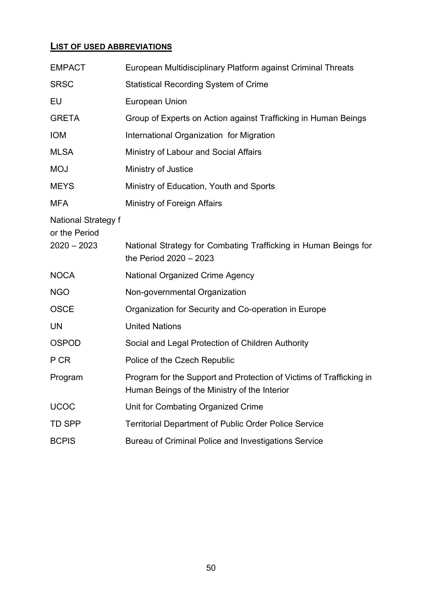#### **LIST OF USED ABBREVIATIONS**

| <b>EMPACT</b>                               | European Multidisciplinary Platform against Criminal Threats                                                        |  |  |
|---------------------------------------------|---------------------------------------------------------------------------------------------------------------------|--|--|
| <b>SRSC</b>                                 | <b>Statistical Recording System of Crime</b>                                                                        |  |  |
| EU                                          | <b>European Union</b>                                                                                               |  |  |
| <b>GRETA</b>                                | Group of Experts on Action against Trafficking in Human Beings                                                      |  |  |
| <b>IOM</b>                                  | International Organization for Migration                                                                            |  |  |
| <b>MLSA</b>                                 | Ministry of Labour and Social Affairs                                                                               |  |  |
| <b>MOJ</b>                                  | Ministry of Justice                                                                                                 |  |  |
| <b>MEYS</b>                                 | Ministry of Education, Youth and Sports                                                                             |  |  |
| <b>MFA</b>                                  | Ministry of Foreign Affairs                                                                                         |  |  |
| <b>National Strategy f</b><br>or the Period |                                                                                                                     |  |  |
| $2020 - 2023$                               | National Strategy for Combating Trafficking in Human Beings for<br>the Period 2020 - 2023                           |  |  |
| <b>NOCA</b>                                 | <b>National Organized Crime Agency</b>                                                                              |  |  |
| <b>NGO</b>                                  | Non-governmental Organization                                                                                       |  |  |
| <b>OSCE</b>                                 | Organization for Security and Co-operation in Europe                                                                |  |  |
| <b>UN</b>                                   | <b>United Nations</b>                                                                                               |  |  |
| <b>OSPOD</b>                                | Social and Legal Protection of Children Authority                                                                   |  |  |
| P CR                                        | Police of the Czech Republic                                                                                        |  |  |
| Program                                     | Program for the Support and Protection of Victims of Trafficking in<br>Human Beings of the Ministry of the Interior |  |  |
| <b>UCOC</b>                                 | Unit for Combating Organized Crime                                                                                  |  |  |
| <b>TD SPP</b>                               | <b>Territorial Department of Public Order Police Service</b>                                                        |  |  |
| <b>BCPIS</b>                                | Bureau of Criminal Police and Investigations Service                                                                |  |  |